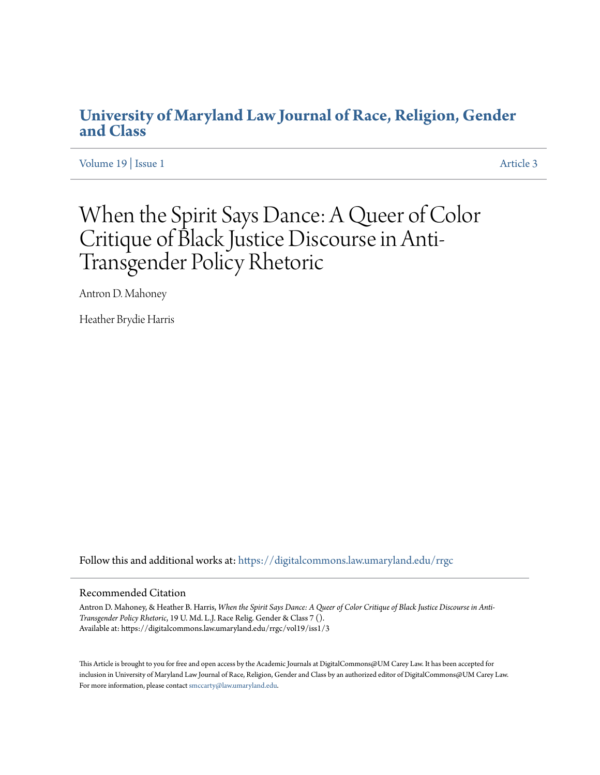# **[University of Maryland Law Journal of Race, Religion, Gender](https://digitalcommons.law.umaryland.edu/rrgc?utm_source=digitalcommons.law.umaryland.edu%2Frrgc%2Fvol19%2Fiss1%2F3&utm_medium=PDF&utm_campaign=PDFCoverPages) [and Class](https://digitalcommons.law.umaryland.edu/rrgc?utm_source=digitalcommons.law.umaryland.edu%2Frrgc%2Fvol19%2Fiss1%2F3&utm_medium=PDF&utm_campaign=PDFCoverPages)**

[Volume 19](https://digitalcommons.law.umaryland.edu/rrgc/vol19?utm_source=digitalcommons.law.umaryland.edu%2Frrgc%2Fvol19%2Fiss1%2F3&utm_medium=PDF&utm_campaign=PDFCoverPages) | [Issue 1](https://digitalcommons.law.umaryland.edu/rrgc/vol19/iss1?utm_source=digitalcommons.law.umaryland.edu%2Frrgc%2Fvol19%2Fiss1%2F3&utm_medium=PDF&utm_campaign=PDFCoverPages) [Article 3](https://digitalcommons.law.umaryland.edu/rrgc/vol19/iss1/3?utm_source=digitalcommons.law.umaryland.edu%2Frrgc%2Fvol19%2Fiss1%2F3&utm_medium=PDF&utm_campaign=PDFCoverPages)

# When the Spirit Says Dance: A Queer of Color Critique of Black Justice Discourse in Anti-Transgender Policy Rhetoric

Antron D. Mahoney

Heather Brydie Harris

Follow this and additional works at: [https://digitalcommons.law.umaryland.edu/rrgc](https://digitalcommons.law.umaryland.edu/rrgc?utm_source=digitalcommons.law.umaryland.edu%2Frrgc%2Fvol19%2Fiss1%2F3&utm_medium=PDF&utm_campaign=PDFCoverPages)

#### Recommended Citation

Antron D. Mahoney, & Heather B. Harris, *When the Spirit Says Dance: A Queer of Color Critique of Black Justice Discourse in Anti-Transgender Policy Rhetoric*, 19 U. Md. L.J. Race Relig. Gender & Class 7 (). Available at: https://digitalcommons.law.umaryland.edu/rrgc/vol19/iss1/3

This Article is brought to you for free and open access by the Academic Journals at DigitalCommons@UM Carey Law. It has been accepted for inclusion in University of Maryland Law Journal of Race, Religion, Gender and Class by an authorized editor of DigitalCommons@UM Carey Law. For more information, please contact [smccarty@law.umaryland.edu.](mailto:smccarty@law.umaryland.edu)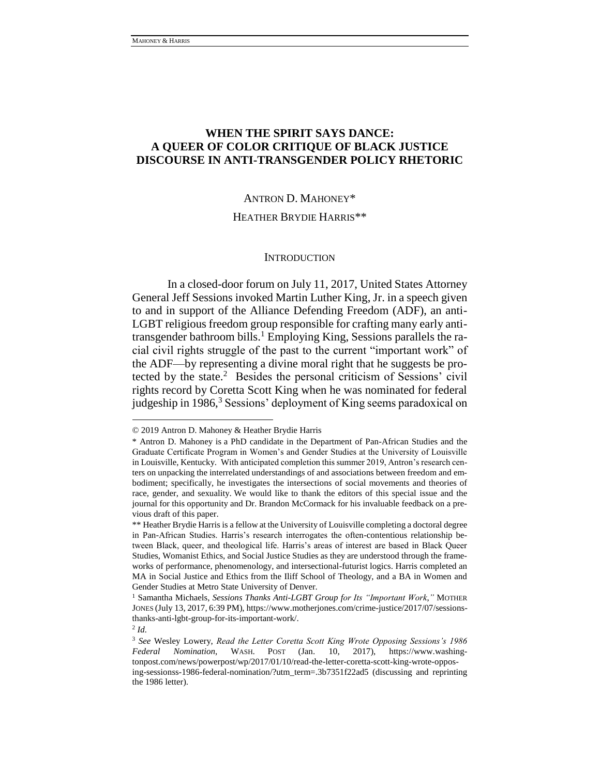# **WHEN THE SPIRIT SAYS DANCE: A QUEER OF COLOR CRITIQUE OF BLACK JUSTICE DISCOURSE IN ANTI-TRANSGENDER POLICY RHETORIC**

#### ANTRON D. MAHONEY\*

#### HEATHER BRYDIE HARRIS\*\*

#### **INTRODUCTION**

In a closed-door forum on July 11, 2017, United States Attorney General Jeff Sessions invoked Martin Luther King, Jr. in a speech given to and in support of the Alliance Defending Freedom (ADF), an anti-LGBT religious freedom group responsible for crafting many early antitransgender bathroom bills.<sup>1</sup> Employing King, Sessions parallels the racial civil rights struggle of the past to the current "important work" of the ADF—by representing a divine moral right that he suggests be protected by the state.<sup>2</sup> Besides the personal criticism of Sessions' civil rights record by Coretta Scott King when he was nominated for federal judgeship in 1986,<sup>3</sup> Sessions' deployment of King seems paradoxical on

<sup>© 2019</sup> Antron D. Mahoney & Heather Brydie Harris

<sup>\*</sup> Antron D. Mahoney is a PhD candidate in the Department of Pan-African Studies and the Graduate Certificate Program in Women's and Gender Studies at the University of Louisville in Louisville, Kentucky. With anticipated completion this summer 2019, Antron's research centers on unpacking the interrelated understandings of and associations between freedom and embodiment; specifically, he investigates the intersections of social movements and theories of race, gender, and sexuality. We would like to thank the editors of this special issue and the journal for this opportunity and Dr. Brandon McCormack for his invaluable feedback on a previous draft of this paper.

<sup>\*\*</sup> Heather Brydie Harris is a fellow at the University of Louisville completing a doctoral degree in Pan-African Studies. Harris's research interrogates the often-contentious relationship between Black, queer, and theological life. Harris's areas of interest are based in Black Queer Studies, Womanist Ethics, and Social Justice Studies as they are understood through the frameworks of performance, phenomenology, and intersectional-futurist logics. Harris completed an MA in Social Justice and Ethics from the Iliff School of Theology, and a BA in Women and Gender Studies at Metro State University of Denver.

<sup>1</sup> Samantha Michaels, *Sessions Thanks Anti-LGBT Group for Its "Important Work*,*"* MOTHER JONES (July 13, 2017, 6:39 PM), https://www.motherjones.com/crime-justice/2017/07/sessionsthanks-anti-lgbt-group-for-its-important-work/.

<sup>2</sup> *Id.* 

<sup>3</sup> *See* Wesley Lowery, *Read the Letter Coretta Scott King Wrote Opposing Sessions's 1986 Federal Nomination*, WASH. POST (Jan. 10, 2017), https://www.washingtonpost.com/news/powerpost/wp/2017/01/10/read-the-letter-coretta-scott-king-wrote-opposing-sessionss-1986-federal-nomination/?utm\_term=.3b7351f22ad5 (discussing and reprinting the 1986 letter).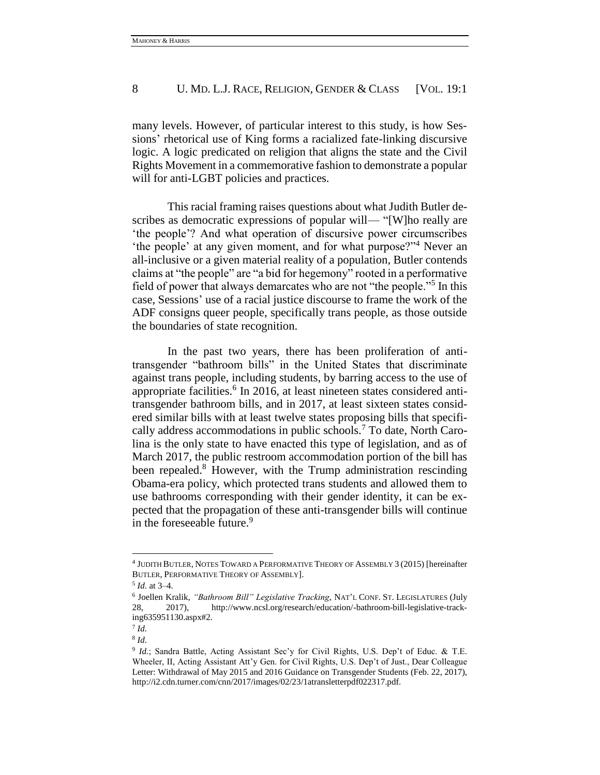many levels. However, of particular interest to this study, is how Sessions' rhetorical use of King forms a racialized fate-linking discursive logic. A logic predicated on religion that aligns the state and the Civil Rights Movement in a commemorative fashion to demonstrate a popular will for anti-LGBT policies and practices.

This racial framing raises questions about what Judith Butler describes as democratic expressions of popular will— "[W]ho really are 'the people'? And what operation of discursive power circumscribes 'the people' at any given moment, and for what purpose?"<sup>4</sup> Never an all-inclusive or a given material reality of a population, Butler contends claims at "the people" are "a bid for hegemony" rooted in a performative field of power that always demarcates who are not "the people."<sup>5</sup> In this case, Sessions' use of a racial justice discourse to frame the work of the ADF consigns queer people, specifically trans people, as those outside the boundaries of state recognition.

In the past two years, there has been proliferation of antitransgender "bathroom bills" in the United States that discriminate against trans people, including students, by barring access to the use of appropriate facilities.<sup>6</sup> In 2016, at least nineteen states considered antitransgender bathroom bills, and in 2017, at least sixteen states considered similar bills with at least twelve states proposing bills that specifically address accommodations in public schools.<sup>7</sup> To date, North Carolina is the only state to have enacted this type of legislation, and as of March 2017, the public restroom accommodation portion of the bill has been repealed.<sup>8</sup> However, with the Trump administration rescinding Obama-era policy, which protected trans students and allowed them to use bathrooms corresponding with their gender identity, it can be expected that the propagation of these anti-transgender bills will continue in the foreseeable future.<sup>9</sup>

<sup>4</sup> JUDITH BUTLER, NOTES TOWARD A PERFORMATIVE THEORY OF ASSEMBLY 3 (2015) [hereinafter BUTLER, PERFORMATIVE THEORY OF ASSEMBLY].

<sup>5</sup> *Id.* at 3–4.

<sup>6</sup> Joellen Kralik, *"Bathroom Bill" Legislative Tracking*, NAT'L CONF. ST. LEGISLATURES (July 28, 2017), http://www.ncsl.org/research/education/-bathroom-bill-legislative-tracking635951130.aspx#2.

<sup>7</sup> *Id.*

<sup>8</sup> *Id.*

<sup>&</sup>lt;sup>9</sup> *Id.*; Sandra Battle, Acting Assistant Sec'y for Civil Rights, U.S. Dep't of Educ. & T.E. Wheeler, II, Acting Assistant Att'y Gen. for Civil Rights, U.S. Dep't of Just., Dear Colleague Letter: Withdrawal of May 2015 and 2016 Guidance on Transgender Students (Feb. 22, 2017), http://i2.cdn.turner.com/cnn/2017/images/02/23/1atransletterpdf022317.pdf.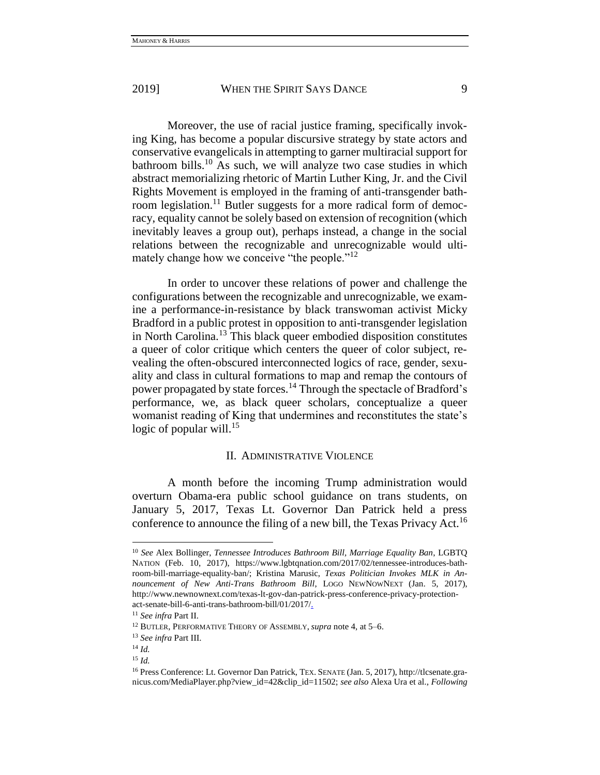Moreover, the use of racial justice framing, specifically invoking King, has become a popular discursive strategy by state actors and conservative evangelicals in attempting to garner multiracial support for bathroom bills.<sup>10</sup> As such, we will analyze two case studies in which abstract memorializing rhetoric of Martin Luther King, Jr. and the Civil Rights Movement is employed in the framing of anti-transgender bathroom legislation.<sup>11</sup> Butler suggests for a more radical form of democracy, equality cannot be solely based on extension of recognition (which inevitably leaves a group out), perhaps instead, a change in the social relations between the recognizable and unrecognizable would ultimately change how we conceive "the people."<sup>12</sup>

In order to uncover these relations of power and challenge the configurations between the recognizable and unrecognizable, we examine a performance-in-resistance by black transwoman activist Micky Bradford in a public protest in opposition to anti-transgender legislation in North Carolina.<sup>13</sup> This black queer embodied disposition constitutes a queer of color critique which centers the queer of color subject, revealing the often-obscured interconnected logics of race, gender, sexuality and class in cultural formations to map and remap the contours of power propagated by state forces.<sup>14</sup> Through the spectacle of Bradford's performance, we, as black queer scholars, conceptualize a queer womanist reading of King that undermines and reconstitutes the state's logic of popular will.<sup>15</sup>

#### II. ADMINISTRATIVE VIOLENCE

A month before the incoming Trump administration would overturn Obama-era public school guidance on trans students, on January 5, 2017, Texas Lt. Governor Dan Patrick held a press conference to announce the filing of a new bill, the Texas Privacy Act.<sup>16</sup>

<sup>10</sup> *See* Alex Bollinger, *Tennessee Introduces Bathroom Bill, Marriage Equality Ban*, LGBTQ NATION (Feb. 10, 2017), https://www.lgbtqnation.com/2017/02/tennessee-introduces-bathroom-bill-marriage-equality-ban/; Kristina Marusic, *Texas Politician Invokes MLK in Announcement of New Anti-Trans Bathroom Bill*, LOGO NEWNOWNEXT (Jan. 5, 2017), http://www.newnownext.com/texas-lt-gov-dan-patrick-press-conference-privacy-protectionact-senate-bill-6-anti-trans-bathroom-bill/01/2017/.

<sup>11</sup> *See infra* Part II.

<sup>12</sup> BUTLER, PERFORMATIVE THEORY OF ASSEMBLY, *supra* note 4, at 5–6.

<sup>13</sup> *See infra* Part III.

<sup>14</sup> *Id.*

<sup>15</sup> *Id.*

<sup>16</sup> Press Conference: Lt. Governor Dan Patrick, TEX. SENATE (Jan. 5, 2017), http://tlcsenate.granicus.com/MediaPlayer.php?view\_id=42&clip\_id=11502; *see also* Alexa Ura et al., *Following*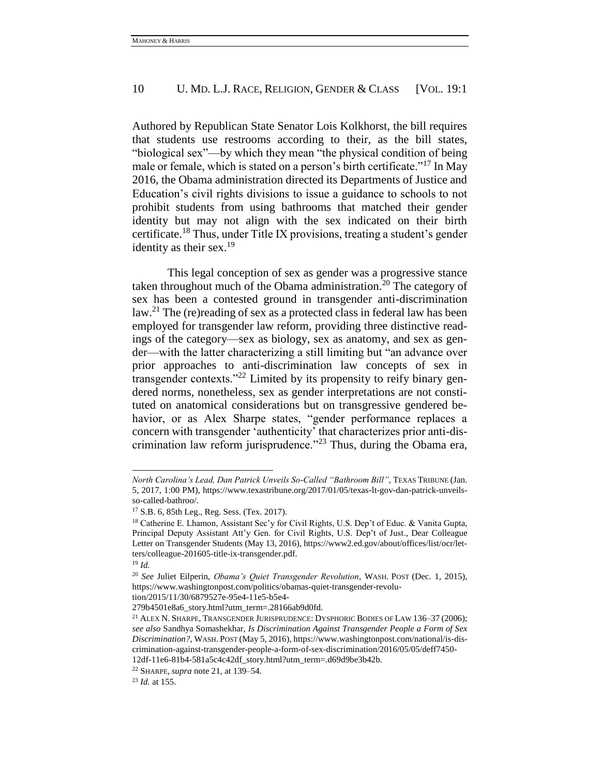Authored by Republican State Senator Lois Kolkhorst, the bill requires that students use restrooms according to their, as the bill states, "biological sex"—by which they mean "the physical condition of being male or female, which is stated on a person's birth certificate."<sup>17</sup> In May 2016, the Obama administration directed its Departments of Justice and Education's civil rights divisions to issue a guidance to schools to not prohibit students from using bathrooms that matched their gender identity but may not align with the sex indicated on their birth certificate.<sup>18</sup> Thus, under Title IX provisions, treating a student's gender identity as their sex. $^{19}$ 

This legal conception of sex as gender was a progressive stance taken throughout much of the Obama administration.<sup>20</sup> The category of sex has been a contested ground in transgender anti-discrimination law.<sup>21</sup> The (re)reading of sex as a protected class in federal law has been employed for transgender law reform, providing three distinctive readings of the category—sex as biology, sex as anatomy, and sex as gender—with the latter characterizing a still limiting but "an advance over prior approaches to anti-discrimination law concepts of sex in transgender contexts."<sup>22</sup> Limited by its propensity to reify binary gendered norms, nonetheless, sex as gender interpretations are not constituted on anatomical considerations but on transgressive gendered behavior, or as Alex Sharpe states, "gender performance replaces a concern with transgender 'authenticity' that characterizes prior anti-discrimination law reform jurisprudence."<sup>23</sup> Thus, during the Obama era,

 $\overline{a}$ 

tion/2015/11/30/6879527e-95e4-11e5-b5e4-

*North Carolina's Lead, Dan Patrick Unveils So-Called "Bathroom Bill"*, TEXAS TRIBUNE (Jan. 5, 2017, 1:00 PM), https://www.texastribune.org/2017/01/05/texas-lt-gov-dan-patrick-unveilsso-called-bathroo/.

<sup>17</sup> S.B. 6, 85th Leg., Reg. Sess. (Tex. 2017).

<sup>18</sup> Catherine E. Lhamon, Assistant Sec'y for Civil Rights, U.S. Dep't of Educ. & Vanita Gupta, Principal Deputy Assistant Att'y Gen. for Civil Rights, U.S. Dep't of Just., Dear Colleague Letter on Transgender Students (May 13, 2016), https://www2.ed.gov/about/offices/list/ocr/letters/colleague-201605-title-ix-transgender.pdf.

<sup>19</sup> *Id.*

<sup>20</sup> *See* Juliet Eilperin, *Obama's Quiet Transgender Revolution*, WASH. POST (Dec. 1, 2015), https://www.washingtonpost.com/politics/obamas-quiet-transgender-revolu-

<sup>279</sup>b4501e8a6\_story.html?utm\_term=.28166ab9d0fd.

<sup>21</sup> ALEX N. SHARPE, TRANSGENDER JURISPRUDENCE: DYSPHORIC BODIES OF LAW 136–37 (2006); *see also* Sandhya Somashekhar, *Is Discrimination Against Transgender People a Form of Sex Discrimination?*, WASH. POST (May 5, 2016), https://www.washingtonpost.com/national/is-discrimination-against-transgender-people-a-form-of-sex-discrimination/2016/05/05/deff7450- 12df-11e6-81b4-581a5c4c42df\_story.html?utm\_term=.d69d9be3b42b.

<sup>22</sup> SHARPE, *supra* note 21, at 139–54.

<sup>23</sup> *Id.* at 155.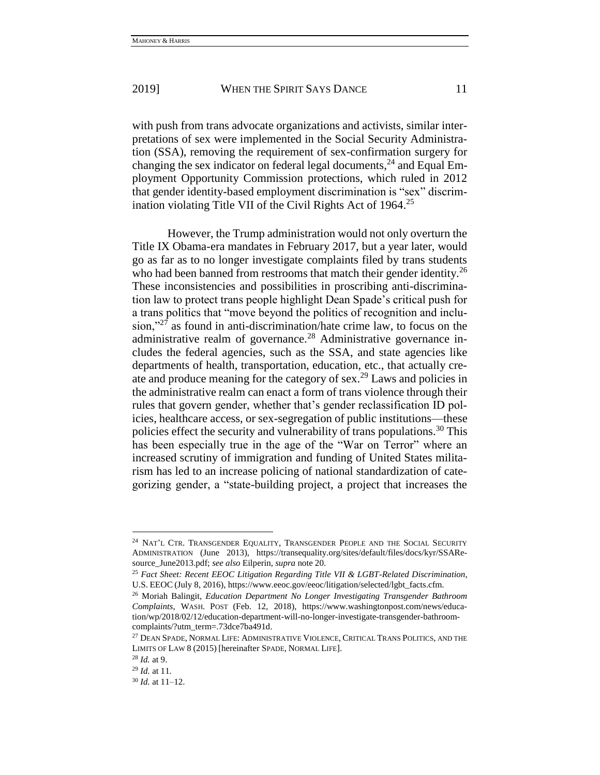with push from trans advocate organizations and activists, similar interpretations of sex were implemented in the Social Security Administration (SSA), removing the requirement of sex-confirmation surgery for changing the sex indicator on federal legal documents,<sup>24</sup> and Equal Employment Opportunity Commission protections, which ruled in 2012 that gender identity-based employment discrimination is "sex" discrimination violating Title VII of the Civil Rights Act of 1964. 25

However, the Trump administration would not only overturn the Title IX Obama-era mandates in February 2017, but a year later, would go as far as to no longer investigate complaints filed by trans students who had been banned from restrooms that match their gender identity.<sup>26</sup> These inconsistencies and possibilities in proscribing anti-discrimination law to protect trans people highlight Dean Spade's critical push for a trans politics that "move beyond the politics of recognition and inclusion,"<sup>27</sup> as found in anti-discrimination/hate crime law, to focus on the administrative realm of governance.<sup>28</sup> Administrative governance includes the federal agencies, such as the SSA, and state agencies like departments of health, transportation, education, etc., that actually create and produce meaning for the category of sex.<sup>29</sup> Laws and policies in the administrative realm can enact a form of trans violence through their rules that govern gender, whether that's gender reclassification ID policies, healthcare access, or sex-segregation of public institutions—these policies effect the security and vulnerability of trans populations.<sup>30</sup> This has been especially true in the age of the "War on Terror" where an increased scrutiny of immigration and funding of United States militarism has led to an increase policing of national standardization of categorizing gender, a "state-building project, a project that increases the

<sup>&</sup>lt;sup>24</sup> NAT'L CTR. TRANSGENDER EQUALITY, TRANSGENDER PEOPLE AND THE SOCIAL SECURITY ADMINISTRATION (June 2013), https://transequality.org/sites/default/files/docs/kyr/SSAResource\_June2013.pdf; *see also* Eilperin, *supra* note 20.

<sup>25</sup> *Fact Sheet: Recent EEOC Litigation Regarding Title VII & LGBT-Related Discrimination*, U.S. EEOC (July 8, 2016), https://www.eeoc.gov/eeoc/litigation/selected/lgbt\_facts.cfm.

<sup>26</sup> Moriah Balingit, *Education Department No Longer Investigating Transgender Bathroom Complaints*, WASH. POST (Feb. 12, 2018), https://www.washingtonpost.com/news/education/wp/2018/02/12/education-department-will-no-longer-investigate-transgender-bathroomcomplaints/?utm\_term=.73dce7ba491d.

<sup>&</sup>lt;sup>27</sup> DEAN SPADE, NORMAL LIFE: ADMINISTRATIVE VIOLENCE, CRITICAL TRANS POLITICS, AND THE LIMITS OF LAW 8 (2015) [hereinafter SPADE, NORMAL LIFE].

<sup>28</sup> *Id.* at 9.

<sup>29</sup> *Id.* at 11.

<sup>30</sup> *Id.* at 11–12.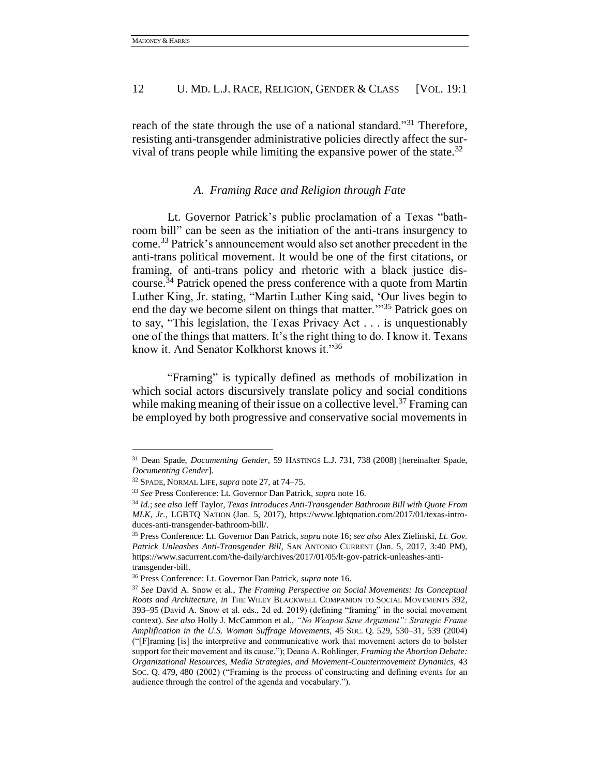reach of the state through the use of a national standard."<sup>31</sup> Therefore, resisting anti-transgender administrative policies directly affect the survival of trans people while limiting the expansive power of the state.<sup>32</sup>

#### *A. Framing Race and Religion through Fate*

Lt. Governor Patrick's public proclamation of a Texas "bathroom bill" can be seen as the initiation of the anti-trans insurgency to come.<sup>33</sup> Patrick's announcement would also set another precedent in the anti-trans political movement. It would be one of the first citations, or framing, of anti-trans policy and rhetoric with a black justice discourse.<sup>34</sup> Patrick opened the press conference with a quote from Martin Luther King, Jr. stating, "Martin Luther King said, 'Our lives begin to end the day we become silent on things that matter."<sup>35</sup> Patrick goes on to say, "This legislation, the Texas Privacy Act . . . is unquestionably one of the things that matters. It's the right thing to do. I know it. Texans know it. And Senator Kolkhorst knows it."<sup>36</sup>

"Framing" is typically defined as methods of mobilization in which social actors discursively translate policy and social conditions while making meaning of their issue on a collective level.<sup>37</sup> Framing can be employed by both progressive and conservative social movements in

<sup>31</sup> Dean Spade, *Documenting Gender*, 59 HASTINGS L.J. 731, 738 (2008) [hereinafter Spade, *Documenting Gender*].

<sup>32</sup> SPADE, NORMAL LIFE, *supra* note 27, at 74–75.

<sup>33</sup> *See* Press Conference: Lt. Governor Dan Patrick, *supra* note 16.

<sup>34</sup> *Id.*; *see also* Jeff Taylor, *Texas Introduces Anti-Transgender Bathroom Bill with Quote From MLK, Jr.*, LGBTQ NATION (Jan. 5, 2017), https://www.lgbtqnation.com/2017/01/texas-introduces-anti-transgender-bathroom-bill/.

<sup>35</sup> Press Conference: Lt. Governor Dan Patrick, *supra* note 16; *see also* Alex Zielinski, *Lt. Gov. Patrick Unleashes Anti-Transgender Bill*, SAN ANTONIO CURRENT (Jan. 5, 2017, 3:40 PM), https://www.sacurrent.com/the-daily/archives/2017/01/05/lt-gov-patrick-unleashes-antitransgender-bill.

<sup>36</sup> Press Conference: Lt. Governor Dan Patrick, *supra* note 16.

<sup>37</sup> *See* David A. Snow et al., *The Framing Perspective on Social Movements: Its Conceptual Roots and Architecture*, *in* THE WILEY BLACKWELL COMPANION TO SOCIAL MOVEMENTS 392, 393–95 (David A. Snow et al. eds., 2d ed. 2019) (defining "framing" in the social movement context). *See also* Holly J. McCammon et al., *"No Weapon Save Argument": Strategic Frame Amplification in the U.S. Woman Suffrage Movements*, 45 SOC. Q. 529, 530–31, 539 (2004) ("[F]raming [is] the interpretive and communicative work that movement actors do to bolster support for their movement and its cause."); Deana A. Rohlinger, *Framing the Abortion Debate: Organizational Resources, Media Strategies, and Movement-Countermovement Dynamics*, 43 SOC. Q. 479, 480 (2002) ("Framing is the process of constructing and defining events for an audience through the control of the agenda and vocabulary.").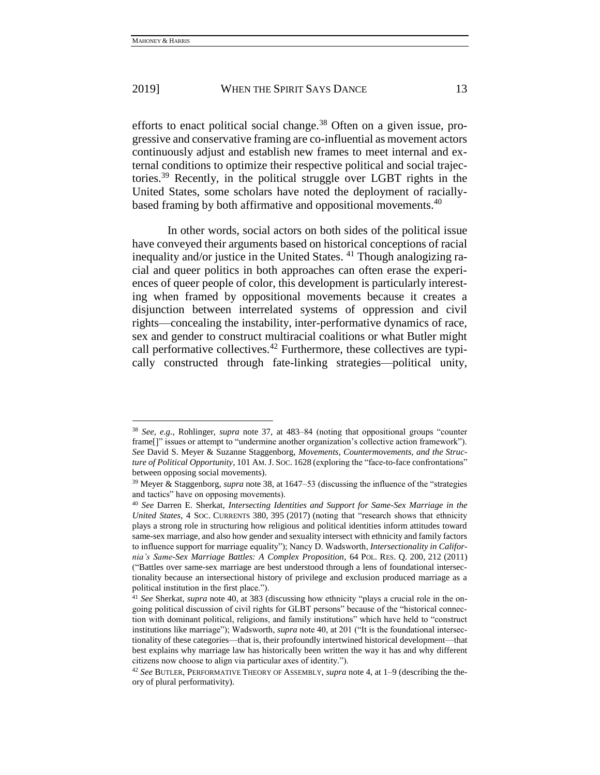$\overline{a}$ 

#### 2019] WHEN THE SPIRIT SAYS DANCE 13

efforts to enact political social change.<sup>38</sup> Often on a given issue, progressive and conservative framing are co-influential as movement actors continuously adjust and establish new frames to meet internal and external conditions to optimize their respective political and social trajectories.<sup>39</sup> Recently, in the political struggle over LGBT rights in the United States, some scholars have noted the deployment of raciallybased framing by both affirmative and oppositional movements.<sup>40</sup>

In other words, social actors on both sides of the political issue have conveyed their arguments based on historical conceptions of racial inequality and/or justice in the United States.  $41$  Though analogizing racial and queer politics in both approaches can often erase the experiences of queer people of color, this development is particularly interesting when framed by oppositional movements because it creates a disjunction between interrelated systems of oppression and civil rights—concealing the instability, inter-performative dynamics of race, sex and gender to construct multiracial coalitions or what Butler might call performative collectives.<sup>42</sup> Furthermore, these collectives are typically constructed through fate-linking strategies—political unity,

<sup>38</sup> *See, e.g.*, Rohlinger, *supra* note 37, at 483–84 (noting that oppositional groups "counter frame[]" issues or attempt to "undermine another organization's collective action framework"). *See* David S. Meyer & Suzanne Staggenborg, *Movements, Countermovements, and the Structure of Political Opportunity*, 101 AM.J. SOC. 1628 (exploring the "face-to-face confrontations" between opposing social movements).

<sup>39</sup> Meyer & Staggenborg, *supra* note 38, at 1647–53 (discussing the influence of the "strategies and tactics" have on opposing movements).

<sup>40</sup> *See* Darren E. Sherkat, *Intersecting Identities and Support for Same-Sex Marriage in the United States*, 4 SOC. CURRENTS 380, 395 (2017) (noting that "research shows that ethnicity plays a strong role in structuring how religious and political identities inform attitudes toward same-sex marriage, and also how gender and sexuality intersect with ethnicity and family factors to influence support for marriage equality"); Nancy D. Wadsworth, *Intersectionality in California's Same-Sex Marriage Battles: A Complex Proposition*, 64 POL. RES. Q. 200, 212 (2011) ("Battles over same-sex marriage are best understood through a lens of foundational intersectionality because an intersectional history of privilege and exclusion produced marriage as a political institution in the first place.").

<sup>41</sup> *See* Sherkat, *supra* note 40, at 383 (discussing how ethnicity "plays a crucial role in the ongoing political discussion of civil rights for GLBT persons" because of the "historical connection with dominant political, religions, and family institutions" which have held to "construct institutions like marriage"); Wadsworth, *supra* note 40, at 201 ("It is the foundational intersectionality of these categories—that is, their profoundly intertwined historical development—that best explains why marriage law has historically been written the way it has and why different citizens now choose to align via particular axes of identity.").

<sup>42</sup> *See* BUTLER, PERFORMATIVE THEORY OF ASSEMBLY, *supra* note 4, at 1–9 (describing the theory of plural performativity).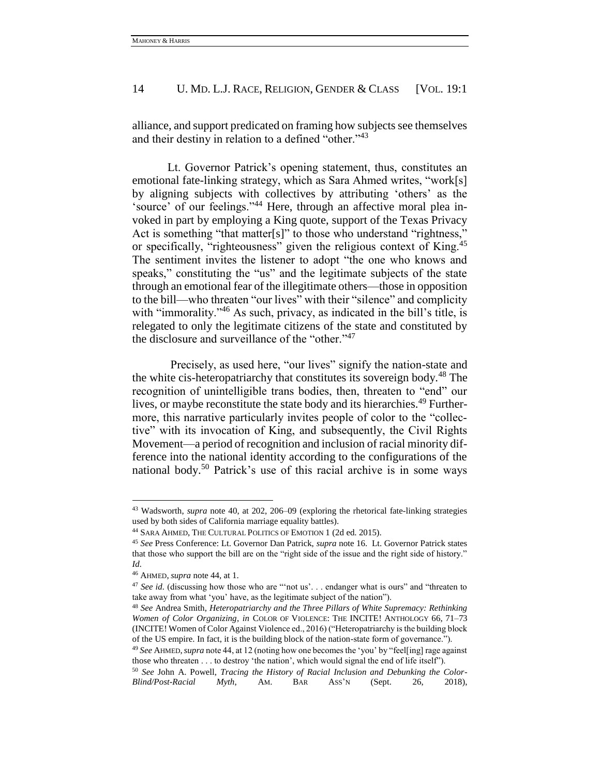alliance, and support predicated on framing how subjects see themselves and their destiny in relation to a defined "other."<sup>43</sup>

Lt. Governor Patrick's opening statement, thus, constitutes an emotional fate-linking strategy, which as Sara Ahmed writes, "work[s] by aligning subjects with collectives by attributing 'others' as the 'source' of our feelings."<sup>44</sup> Here, through an affective moral plea invoked in part by employing a King quote, support of the Texas Privacy Act is something "that matter[s]" to those who understand "rightness," or specifically, "righteousness" given the religious context of King.<sup>45</sup> The sentiment invites the listener to adopt "the one who knows and speaks," constituting the "us" and the legitimate subjects of the state through an emotional fear of the illegitimate others—those in opposition to the bill—who threaten "our lives" with their "silence" and complicity with "immorality."<sup>46</sup> As such, privacy, as indicated in the bill's title, is relegated to only the legitimate citizens of the state and constituted by the disclosure and surveillance of the "other."<sup>47</sup>

Precisely, as used here, "our lives" signify the nation-state and the white cis-heteropatriarchy that constitutes its sovereign body.<sup>48</sup> The recognition of unintelligible trans bodies, then, threaten to "end" our lives, or maybe reconstitute the state body and its hierarchies.<sup>49</sup> Furthermore, this narrative particularly invites people of color to the "collective" with its invocation of King, and subsequently, the Civil Rights Movement—a period of recognition and inclusion of racial minority difference into the national identity according to the configurations of the national body.<sup>50</sup> Patrick's use of this racial archive is in some ways

<sup>43</sup> Wadsworth, *supra* note 40, at 202, 206–09 (exploring the rhetorical fate-linking strategies used by both sides of California marriage equality battles).

<sup>44</sup> SARA AHMED, THE CULTURAL POLITICS OF EMOTION 1 (2d ed. 2015).

<sup>45</sup> *See* Press Conference: Lt. Governor Dan Patrick, *supra* note 16. Lt. Governor Patrick states that those who support the bill are on the "right side of the issue and the right side of history." *Id.*

<sup>46</sup> AHMED, *supra* note 44, at 1.

<sup>&</sup>lt;sup>47</sup> See id. (discussing how those who are ""not us'... endanger what is ours" and "threaten to take away from what 'you' have, as the legitimate subject of the nation").

<sup>48</sup> *See* Andrea Smith, *Heteropatriarchy and the Three Pillars of White Supremacy: Rethinking Women of Color Organizing*, *in* COLOR OF VIOLENCE: THE INCITE! ANTHOLOGY 66, 71–73 (INCITE! Women of Color Against Violence ed., 2016) ("Heteropatriarchy is the building block of the US empire. In fact, it is the building block of the nation-state form of governance.").

<sup>49</sup> *See* AHMED,*supra* note 44, at 12 (noting how one becomes the 'you' by "feel[ing] rage against those who threaten . . . to destroy 'the nation', which would signal the end of life itself").

<sup>50</sup> *See* John A. Powell, *Tracing the History of Racial Inclusion and Debunking the Color-Blind/Post-Racial Myth*, AM. BAR ASS'N (Sept. 26, 2018),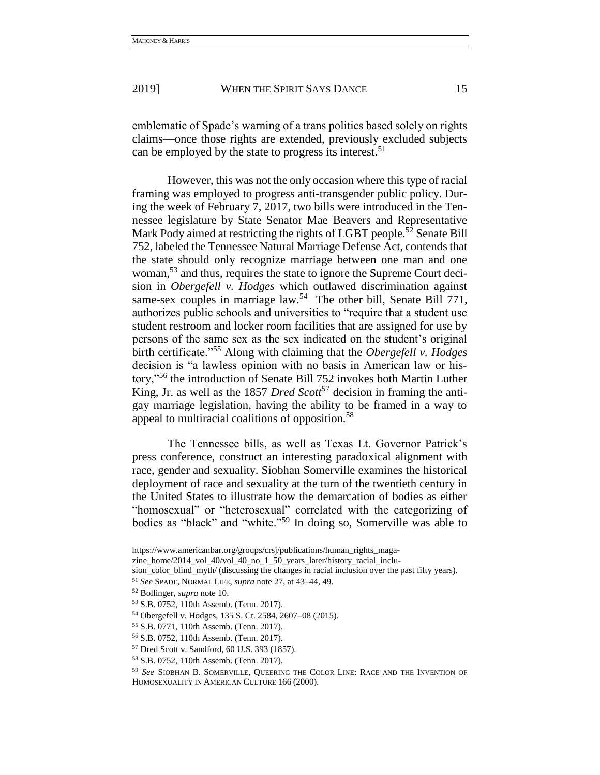emblematic of Spade's warning of a trans politics based solely on rights claims—once those rights are extended, previously excluded subjects can be employed by the state to progress its interest.<sup>51</sup>

However, this was not the only occasion where this type of racial framing was employed to progress anti-transgender public policy. During the week of February 7, 2017, two bills were introduced in the Tennessee legislature by State Senator Mae Beavers and Representative Mark Pody aimed at restricting the rights of LGBT people.<sup>52</sup> Senate Bill 752, labeled the Tennessee Natural Marriage Defense Act, contends that the state should only recognize marriage between one man and one woman,<sup>53</sup> and thus, requires the state to ignore the Supreme Court decision in *Obergefell v. Hodges* which outlawed discrimination against same-sex couples in marriage law.<sup>54</sup> The other bill, Senate Bill 771, authorizes public schools and universities to "require that a student use student restroom and locker room facilities that are assigned for use by persons of the same sex as the sex indicated on the student's original birth certificate."<sup>55</sup> Along with claiming that the *Obergefell v. Hodges*  decision is "a lawless opinion with no basis in American law or history,"<sup>56</sup> the introduction of Senate Bill 752 invokes both Martin Luther King, Jr. as well as the 1857 *Dred Scott*<sup>57</sup> decision in framing the antigay marriage legislation, having the ability to be framed in a way to appeal to multiracial coalitions of opposition.<sup>58</sup>

The Tennessee bills, as well as Texas Lt. Governor Patrick's press conference, construct an interesting paradoxical alignment with race, gender and sexuality. Siobhan Somerville examines the historical deployment of race and sexuality at the turn of the twentieth century in the United States to illustrate how the demarcation of bodies as either "homosexual" or "heterosexual" correlated with the categorizing of bodies as "black" and "white."<sup>59</sup> In doing so, Somerville was able to

https://www.americanbar.org/groups/crsj/publications/human\_rights\_maga-

zine\_home/2014\_vol\_40/vol\_40\_no\_1\_50\_years\_later/history\_racial\_inclu-

sion\_color\_blind\_myth/ (discussing the changes in racial inclusion over the past fifty years).

<sup>51</sup> *See* SPADE, NORMAL LIFE, *supra* note 27, at 43–44, 49.

<sup>52</sup> Bollinger, *supra* note 10.

<sup>53</sup> S.B. 0752, 110th Assemb. (Tenn. 2017).

<sup>54</sup> Obergefell v. Hodges, 135 S. Ct. 2584, 2607–08 (2015).

<sup>55</sup> S.B. 0771, 110th Assemb. (Tenn. 2017).

<sup>56</sup> S.B. 0752, 110th Assemb. (Tenn. 2017).

<sup>57</sup> Dred Scott v. Sandford, 60 U.S. 393 (1857).

<sup>58</sup> S.B. 0752, 110th Assemb. (Tenn. 2017).

<sup>59</sup> *See* SIOBHAN B. SOMERVILLE, QUEERING THE COLOR LINE: RACE AND THE INVENTION OF HOMOSEXUALITY IN AMERICAN CULTURE 166 (2000).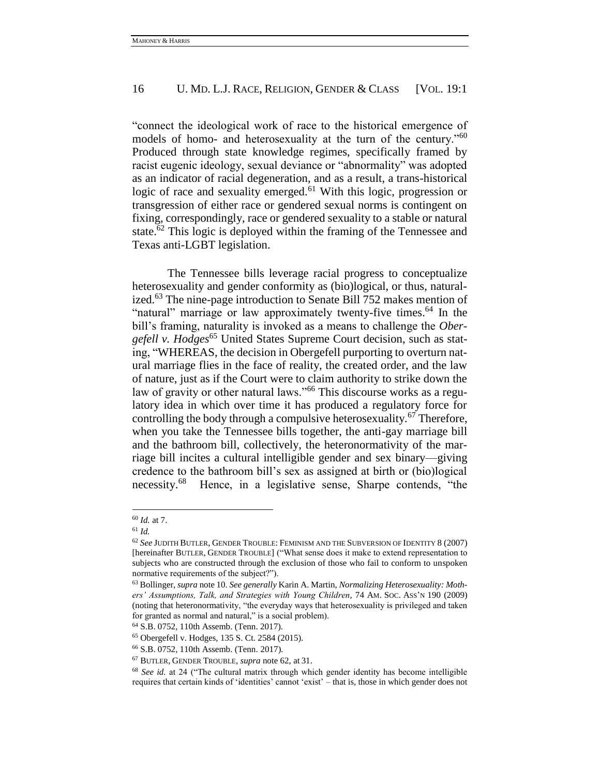"connect the ideological work of race to the historical emergence of models of homo- and heterosexuality at the turn of the century."<sup>60</sup> Produced through state knowledge regimes, specifically framed by racist eugenic ideology, sexual deviance or "abnormality" was adopted as an indicator of racial degeneration, and as a result, a trans-historical logic of race and sexuality emerged.<sup>61</sup> With this logic, progression or transgression of either race or gendered sexual norms is contingent on fixing, correspondingly, race or gendered sexuality to a stable or natural state.<sup>62</sup> This logic is deployed within the framing of the Tennessee and Texas anti-LGBT legislation.

The Tennessee bills leverage racial progress to conceptualize heterosexuality and gender conformity as (bio)logical, or thus, naturalized.<sup>63</sup> The nine-page introduction to Senate Bill 752 makes mention of "natural" marriage or law approximately twenty-five times. $64$  In the bill's framing, naturality is invoked as a means to challenge the *Obergefell v. Hodges*<sup>65</sup> United States Supreme Court decision, such as stating, "WHEREAS, the decision in Obergefell purporting to overturn natural marriage flies in the face of reality, the created order, and the law of nature, just as if the Court were to claim authority to strike down the law of gravity or other natural laws."<sup>66</sup> This discourse works as a regulatory idea in which over time it has produced a regulatory force for controlling the body through a compulsive heterosexuality.<sup>67</sup> Therefore, when you take the Tennessee bills together, the anti-gay marriage bill and the bathroom bill, collectively, the heteronormativity of the marriage bill incites a cultural intelligible gender and sex binary—giving credence to the bathroom bill's sex as assigned at birth or (bio)logical necessity.<sup>68</sup> Hence, in a legislative sense, Sharpe contends, "the

<sup>60</sup> *Id.* at 7.

<sup>61</sup> *Id.*

<sup>62</sup> *See* JUDITH BUTLER, GENDER TROUBLE: FEMINISM AND THE SUBVERSION OF IDENTITY 8 (2007) [hereinafter BUTLER, GENDER TROUBLE] ("What sense does it make to extend representation to subjects who are constructed through the exclusion of those who fail to conform to unspoken normative requirements of the subject?").

<sup>63</sup> Bollinger, *supra* note 10. *See generally* Karin A. Martin, *Normalizing Heterosexuality: Mothers' Assumptions, Talk, and Strategies with Young Children*, 74 AM. SOC. ASS'N 190 (2009) (noting that heteronormativity, "the everyday ways that heterosexuality is privileged and taken for granted as normal and natural," is a social problem).

<sup>64</sup> S.B. 0752, 110th Assemb. (Tenn. 2017).

<sup>65</sup> Obergefell v. Hodges, 135 S. Ct. 2584 (2015).

<sup>66</sup> S.B. 0752, 110th Assemb. (Tenn. 2017).

<sup>67</sup> BUTLER, GENDER TROUBLE, *supra* note 62, at 31.

<sup>68</sup> *See id.* at 24 ("The cultural matrix through which gender identity has become intelligible requires that certain kinds of 'identities' cannot 'exist' – that is, those in which gender does not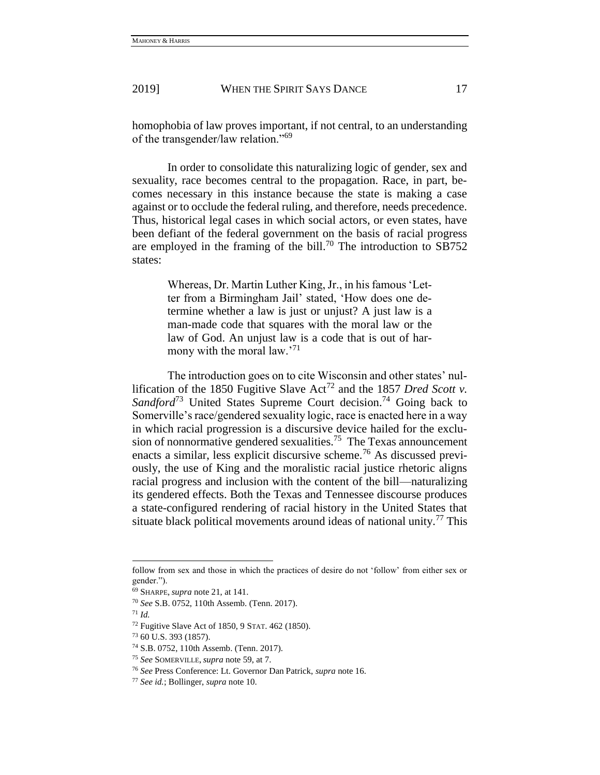homophobia of law proves important, if not central, to an understanding of the transgender/law relation."<sup>69</sup>

In order to consolidate this naturalizing logic of gender, sex and sexuality, race becomes central to the propagation. Race, in part, becomes necessary in this instance because the state is making a case against or to occlude the federal ruling, and therefore, needs precedence. Thus, historical legal cases in which social actors, or even states, have been defiant of the federal government on the basis of racial progress are employed in the framing of the bill.<sup>70</sup> The introduction to SB752 states:

> Whereas, Dr. Martin Luther King, Jr., in his famous 'Letter from a Birmingham Jail' stated, 'How does one determine whether a law is just or unjust? A just law is a man-made code that squares with the moral law or the law of God. An unjust law is a code that is out of harmony with the moral law.'<sup>71</sup>

The introduction goes on to cite Wisconsin and other states' nullification of the 1850 Fugitive Slave Act<sup>72</sup> and the 1857 *Dred Scott v. Sandford*<sup>73</sup> United States Supreme Court decision.<sup>74</sup> Going back to Somerville's race/gendered sexuality logic, race is enacted here in a way in which racial progression is a discursive device hailed for the exclusion of nonnormative gendered sexualities.<sup>75</sup> The Texas announcement enacts a similar, less explicit discursive scheme.<sup>76</sup> As discussed previously, the use of King and the moralistic racial justice rhetoric aligns racial progress and inclusion with the content of the bill—naturalizing its gendered effects. Both the Texas and Tennessee discourse produces a state-configured rendering of racial history in the United States that situate black political movements around ideas of national unity.<sup>77</sup> This

<sup>71</sup> *Id.*

follow from sex and those in which the practices of desire do not 'follow' from either sex or gender.").

<sup>69</sup> SHARPE, *supra* note 21, at 141.

<sup>70</sup> *See* S.B. 0752, 110th Assemb. (Tenn. 2017).

<sup>72</sup> Fugitive Slave Act of 1850, 9 STAT. 462 (1850).

<sup>73</sup> 60 U.S. 393 (1857).

<sup>74</sup> S.B. 0752, 110th Assemb. (Tenn. 2017).

<sup>75</sup> *See* SOMERVILLE, *supra* note 59, at 7.

<sup>76</sup> *See* Press Conference: Lt. Governor Dan Patrick, *supra* note 16.

<sup>77</sup> *See id.*; Bollinger, *supra* note 10.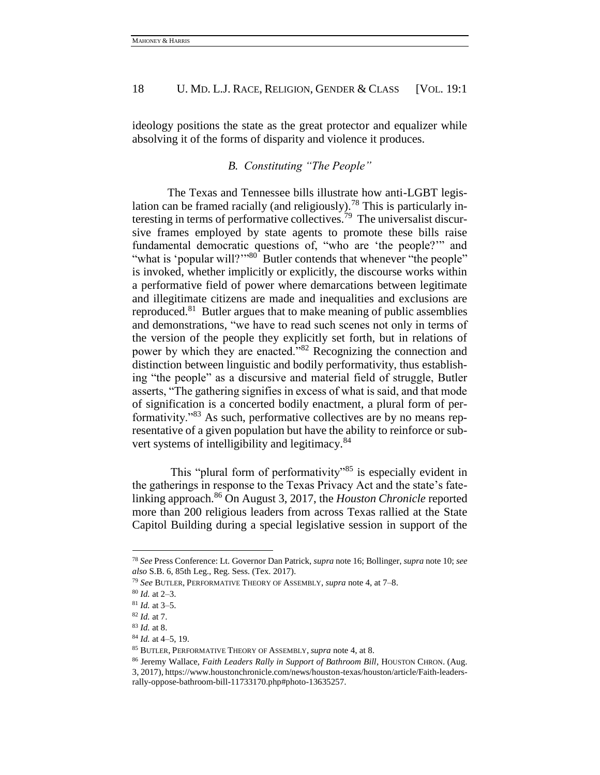ideology positions the state as the great protector and equalizer while absolving it of the forms of disparity and violence it produces.

*B. Constituting "The People"*

The Texas and Tennessee bills illustrate how anti-LGBT legislation can be framed racially (and religiously).<sup>78</sup> This is particularly interesting in terms of performative collectives.<sup>79</sup> The universalist discursive frames employed by state agents to promote these bills raise fundamental democratic questions of, "who are 'the people?'" and "what is 'popular will?"<sup>80</sup> Butler contends that whenever "the people" is invoked, whether implicitly or explicitly, the discourse works within a performative field of power where demarcations between legitimate and illegitimate citizens are made and inequalities and exclusions are reproduced.<sup>81</sup> Butler argues that to make meaning of public assemblies and demonstrations, "we have to read such scenes not only in terms of the version of the people they explicitly set forth, but in relations of power by which they are enacted."<sup>82</sup> Recognizing the connection and distinction between linguistic and bodily performativity, thus establishing "the people" as a discursive and material field of struggle, Butler asserts, "The gathering signifies in excess of what is said, and that mode of signification is a concerted bodily enactment, a plural form of performativity."<sup>83</sup> As such, performative collectives are by no means representative of a given population but have the ability to reinforce or subvert systems of intelligibility and legitimacy.<sup>84</sup>

This "plural form of performativity"<sup>85</sup> is especially evident in the gatherings in response to the Texas Privacy Act and the state's fatelinking approach.<sup>86</sup> On August 3, 2017, the *Houston Chronicle* reported more than 200 religious leaders from across Texas rallied at the State Capitol Building during a special legislative session in support of the

<sup>78</sup> *See* Press Conference: Lt. Governor Dan Patrick, *supra* note 16; Bollinger, *supra* note 10; *see also* S.B. 6, 85th Leg., Reg. Sess. (Tex. 2017).

<sup>79</sup> *See* BUTLER, PERFORMATIVE THEORY OF ASSEMBLY, *supra* note 4, at 7–8.

<sup>80</sup> *Id.* at 2–3.

<sup>81</sup> *Id.* at 3–5.

<sup>82</sup> *Id.* at 7.

<sup>83</sup> *Id.* at 8.

<sup>84</sup> *Id.* at 4–5, 19.

<sup>85</sup> BUTLER, PERFORMATIVE THEORY OF ASSEMBLY, *supra* note 4, at 8.

<sup>86</sup> Jeremy Wallace, *Faith Leaders Rally in Support of Bathroom Bill*, HOUSTON CHRON. (Aug.

<sup>3, 2017),</sup> https://www.houstonchronicle.com/news/houston-texas/houston/article/Faith-leadersrally-oppose-bathroom-bill-11733170.php#photo-13635257.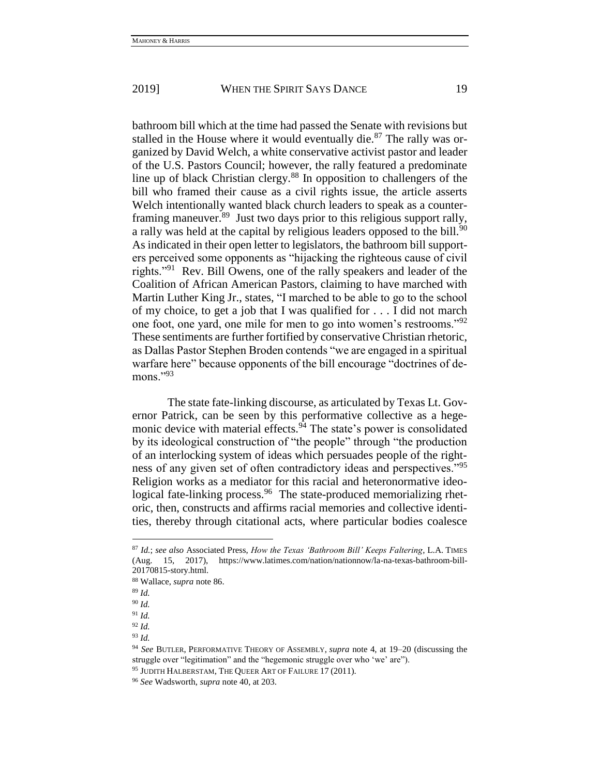bathroom bill which at the time had passed the Senate with revisions but stalled in the House where it would eventually die. $87$  The rally was organized by David Welch, a white conservative activist pastor and leader of the U.S. Pastors Council; however, the rally featured a predominate line up of black Christian clergy.<sup>88</sup> In opposition to challengers of the bill who framed their cause as a civil rights issue, the article asserts Welch intentionally wanted black church leaders to speak as a counterframing maneuver.<sup>89</sup> Just two days prior to this religious support rally, a rally was held at the capital by religious leaders opposed to the bill.<sup>90</sup> As indicated in their open letter to legislators, the bathroom bill supporters perceived some opponents as "hijacking the righteous cause of civil rights."<sup>91</sup> Rev. Bill Owens, one of the rally speakers and leader of the Coalition of African American Pastors, claiming to have marched with Martin Luther King Jr., states, "I marched to be able to go to the school of my choice, to get a job that I was qualified for . . . I did not march one foot, one yard, one mile for men to go into women's restrooms."<sup>92</sup> These sentiments are further fortified by conservative Christian rhetoric, as Dallas Pastor Stephen Broden contends "we are engaged in a spiritual warfare here" because opponents of the bill encourage "doctrines of demons."93

The state fate-linking discourse, as articulated by Texas Lt. Governor Patrick, can be seen by this performative collective as a hegemonic device with material effects.<sup>94</sup> The state's power is consolidated by its ideological construction of "the people" through "the production of an interlocking system of ideas which persuades people of the rightness of any given set of often contradictory ideas and perspectives."<sup>95</sup> Religion works as a mediator for this racial and heteronormative ideological fate-linking process.<sup>96</sup> The state-produced memorializing rhetoric, then, constructs and affirms racial memories and collective identities, thereby through citational acts, where particular bodies coalesce

l

<sup>92</sup> *Id.*

<sup>87</sup> *Id.*; *see also* Associated Press, *How the Texas 'Bathroom Bill' Keeps Faltering*, L.A. TIMES (Aug. 15, 2017), https://www.latimes.com/nation/nationnow/la-na-texas-bathroom-bill-20170815-story.html.

<sup>88</sup> Wallace, *supra* note 86.

<sup>89</sup> *Id.*

<sup>90</sup> *Id.*

<sup>91</sup> *Id.*

<sup>93</sup> *Id.*

<sup>94</sup> *See* BUTLER, PERFORMATIVE THEORY OF ASSEMBLY, *supra* note 4, at 19–20 (discussing the struggle over "legitimation" and the "hegemonic struggle over who 'we' are").

<sup>95</sup> JUDITH HALBERSTAM, THE QUEER ART OF FAILURE 17 (2011).

<sup>96</sup> *See* Wadsworth, *supra* note 40, at 203.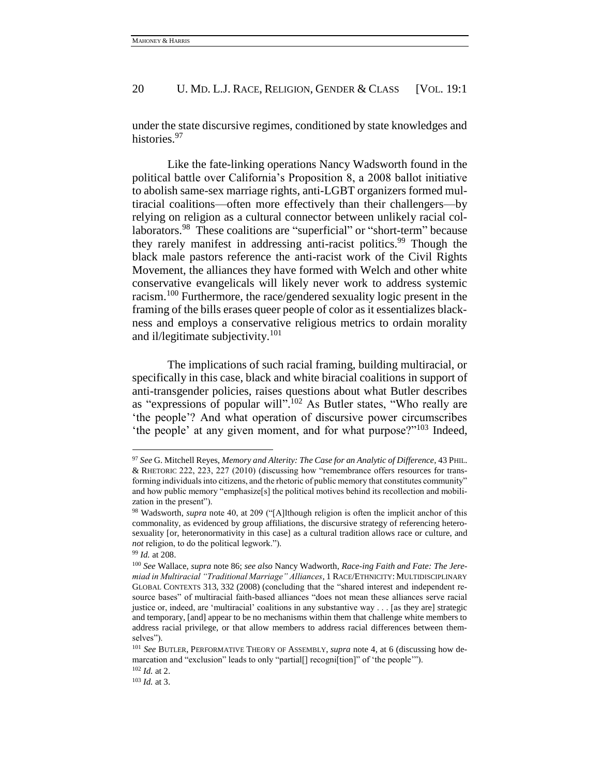under the state discursive regimes, conditioned by state knowledges and histories.<sup>97</sup>

Like the fate-linking operations Nancy Wadsworth found in the political battle over California's Proposition 8, a 2008 ballot initiative to abolish same-sex marriage rights, anti-LGBT organizers formed multiracial coalitions—often more effectively than their challengers—by relying on religion as a cultural connector between unlikely racial collaborators.<sup>98</sup> These coalitions are "superficial" or "short-term" because they rarely manifest in addressing anti-racist politics.<sup>99</sup> Though the black male pastors reference the anti-racist work of the Civil Rights Movement, the alliances they have formed with Welch and other white conservative evangelicals will likely never work to address systemic racism.<sup>100</sup> Furthermore, the race/gendered sexuality logic present in the framing of the bills erases queer people of color as it essentializes blackness and employs a conservative religious metrics to ordain morality and il/legitimate subjectivity.<sup>101</sup>

The implications of such racial framing, building multiracial, or specifically in this case, black and white biracial coalitions in support of anti-transgender policies, raises questions about what Butler describes as "expressions of popular will".<sup>102</sup> As Butler states, "Who really are 'the people'? And what operation of discursive power circumscribes 'the people' at any given moment, and for what purpose?"<sup>103</sup> Indeed,

 $\overline{a}$ 

<sup>103</sup> *Id.* at 3.

<sup>97</sup> *See* G. Mitchell Reyes, *Memory and Alterity: The Case for an Analytic of Difference*, 43 PHIL. & RHETORIC 222, 223, 227 (2010) (discussing how "remembrance offers resources for transforming individuals into citizens, and the rhetoric of public memory that constitutes community" and how public memory "emphasize[s] the political motives behind its recollection and mobilization in the present").

<sup>98</sup> Wadsworth, *supra* note 40, at 209 ("[A]lthough religion is often the implicit anchor of this commonality, as evidenced by group affiliations, the discursive strategy of referencing heterosexuality [or, heteronormativity in this case] as a cultural tradition allows race or culture, and *not* religion, to do the political legwork.").

<sup>99</sup> *Id.* at 208.

<sup>100</sup> *See* Wallace, *supra* note 86; *see also* Nancy Wadworth, *Race-ing Faith and Fate: The Jeremiad in Multiracial "Traditional Marriage" Alliances*, 1 RACE/ETHNICITY: MULTIDISCIPLINARY GLOBAL CONTEXTS 313, 332 (2008) (concluding that the "shared interest and independent resource bases" of multiracial faith-based alliances "does not mean these alliances serve racial justice or, indeed, are 'multiracial' coalitions in any substantive way . . . [as they are] strategic and temporary, [and] appear to be no mechanisms within them that challenge white members to address racial privilege, or that allow members to address racial differences between themselves").

<sup>101</sup> *See* BUTLER, PERFORMATIVE THEORY OF ASSEMBLY, *supra* note 4, at 6 (discussing how demarcation and "exclusion" leads to only "partial[] recogni[tion]" of 'the people'").

<sup>102</sup> *Id.* at 2.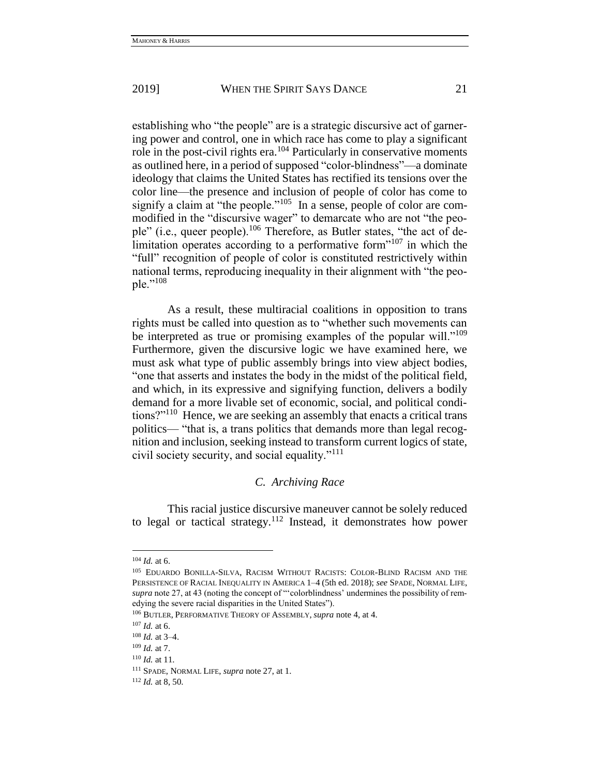establishing who "the people" are is a strategic discursive act of garnering power and control, one in which race has come to play a significant role in the post-civil rights era.<sup>104</sup> Particularly in conservative moments as outlined here, in a period of supposed "color-blindness"—a dominate ideology that claims the United States has rectified its tensions over the color line—the presence and inclusion of people of color has come to signify a claim at "the people."<sup>105</sup> In a sense, people of color are commodified in the "discursive wager" to demarcate who are not "the people" (i.e., queer people).<sup>106</sup> Therefore, as Butler states, "the act of delimitation operates according to a performative form $107$  in which the "full" recognition of people of color is constituted restrictively within national terms, reproducing inequality in their alignment with "the people."<sup>108</sup>

As a result, these multiracial coalitions in opposition to trans rights must be called into question as to "whether such movements can be interpreted as true or promising examples of the popular will."<sup>109</sup> Furthermore, given the discursive logic we have examined here, we must ask what type of public assembly brings into view abject bodies, "one that asserts and instates the body in the midst of the political field, and which, in its expressive and signifying function, delivers a bodily demand for a more livable set of economic, social, and political conditions?"<sup>110</sup> Hence, we are seeking an assembly that enacts a critical trans politics— "that is, a trans politics that demands more than legal recognition and inclusion, seeking instead to transform current logics of state, civil society security, and social equality."<sup>111</sup>

#### *C. Archiving Race*

This racial justice discursive maneuver cannot be solely reduced to legal or tactical strategy.<sup>112</sup> Instead, it demonstrates how power

<sup>104</sup> *Id.* at 6.

<sup>105</sup> EDUARDO BONILLA-SILVA, RACISM WITHOUT RACISTS: COLOR-BLIND RACISM AND THE PERSISTENCE OF RACIAL INEQUALITY IN AMERICA 1–4 (5th ed. 2018); *see* SPADE, NORMAL LIFE, *supra* note 27, at 43 (noting the concept of "'colorblindness' undermines the possibility of remedying the severe racial disparities in the United States").

<sup>106</sup> BUTLER, PERFORMATIVE THEORY OF ASSEMBLY, *supra* note 4, at 4.

<sup>107</sup> *Id.* at 6.

<sup>108</sup> *Id.* at 3–4.

<sup>109</sup> *Id.* at 7.

<sup>110</sup> *Id.* at 11.

<sup>111</sup> SPADE, NORMAL LIFE, *supra* note 27, at 1.

<sup>112</sup> *Id.* at 8, 50.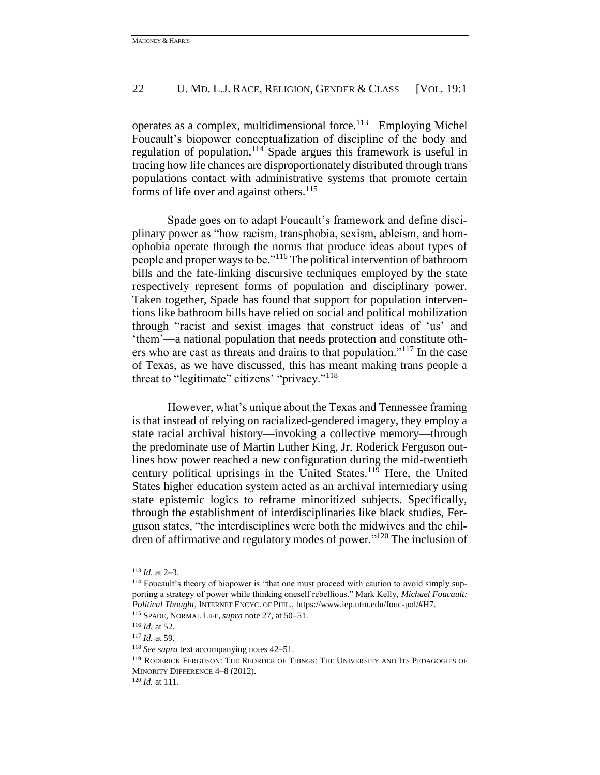operates as a complex, multidimensional force.<sup>113</sup> Employing Michel Foucault's biopower conceptualization of discipline of the body and regulation of population, $114$  Spade argues this framework is useful in tracing how life chances are disproportionately distributed through trans populations contact with administrative systems that promote certain forms of life over and against others.<sup>115</sup>

Spade goes on to adapt Foucault's framework and define disciplinary power as "how racism, transphobia, sexism, ableism, and homophobia operate through the norms that produce ideas about types of people and proper ways to be."<sup>116</sup> The political intervention of bathroom bills and the fate-linking discursive techniques employed by the state respectively represent forms of population and disciplinary power. Taken together, Spade has found that support for population interventions like bathroom bills have relied on social and political mobilization through "racist and sexist images that construct ideas of 'us' and 'them'—a national population that needs protection and constitute others who are cast as threats and drains to that population."<sup>117</sup> In the case of Texas, as we have discussed, this has meant making trans people a threat to "legitimate" citizens' "privacy."<sup>118</sup>

However, what's unique about the Texas and Tennessee framing is that instead of relying on racialized-gendered imagery, they employ a state racial archival history—invoking a collective memory—through the predominate use of Martin Luther King, Jr. Roderick Ferguson outlines how power reached a new configuration during the mid-twentieth century political uprisings in the United States.<sup>119</sup> Here, the United States higher education system acted as an archival intermediary using state epistemic logics to reframe minoritized subjects. Specifically, through the establishment of interdisciplinaries like black studies, Ferguson states, "the interdisciplines were both the midwives and the children of affirmative and regulatory modes of power."<sup>120</sup> The inclusion of

<sup>113</sup> *Id.* at 2–3.

<sup>&</sup>lt;sup>114</sup> Foucault's theory of biopower is "that one must proceed with caution to avoid simply supporting a strategy of power while thinking oneself rebellious." Mark Kelly, *Michael Foucault: Political Thought*, INTERNET ENCYC. OF PHIL., https://www.iep.utm.edu/fouc-pol/#H7.

<sup>115</sup> SPADE, NORMAL LIFE, *supra* note 27, at 50–51.

<sup>116</sup> *Id.* at 52.

<sup>117</sup> *Id.* at 59.

<sup>118</sup> *See supra* text accompanying notes 42–51.

<sup>&</sup>lt;sup>119</sup> RODERICK FERGUSON: THE REORDER OF THINGS: THE UNIVERSITY AND ITS PEDAGOGIES OF MINORITY DIFFERENCE 4–8 (2012).

<sup>120</sup> *Id.* at 111.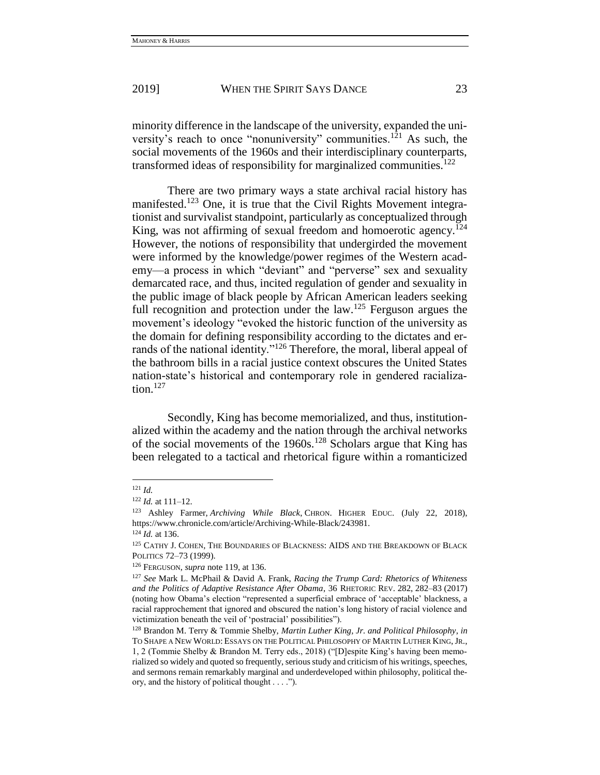minority difference in the landscape of the university, expanded the university's reach to once "nonuniversity" communities.<sup>121</sup> As such, the social movements of the 1960s and their interdisciplinary counterparts, transformed ideas of responsibility for marginalized communities.<sup>122</sup>

There are two primary ways a state archival racial history has manifested.<sup>123</sup> One, it is true that the Civil Rights Movement integrationist and survivalist standpoint, particularly as conceptualized through King, was not affirming of sexual freedom and homoerotic agency.<sup>124</sup> However, the notions of responsibility that undergirded the movement were informed by the knowledge/power regimes of the Western academy—a process in which "deviant" and "perverse" sex and sexuality demarcated race, and thus, incited regulation of gender and sexuality in the public image of black people by African American leaders seeking full recognition and protection under the law.<sup>125</sup> Ferguson argues the movement's ideology "evoked the historic function of the university as the domain for defining responsibility according to the dictates and errands of the national identity."<sup>126</sup> Therefore, the moral, liberal appeal of the bathroom bills in a racial justice context obscures the United States nation-state's historical and contemporary role in gendered racialization. $127$ 

Secondly, King has become memorialized, and thus, institutionalized within the academy and the nation through the archival networks of the social movements of the 1960s.<sup>128</sup> Scholars argue that King has been relegated to a tactical and rhetorical figure within a romanticized

<sup>121</sup> *Id.*

<sup>122</sup> *Id.* at 111–12.

<sup>123</sup> Ashley Farmer, *Archiving While Black*, CHRON. HIGHER EDUC. (July 22, 2018), https://www.chronicle.com/article/Archiving-While-Black/243981. <sup>124</sup> *Id.* at 136.

<sup>&</sup>lt;sup>125</sup> CATHY J. COHEN, THE BOUNDARIES OF BLACKNESS: AIDS AND THE BREAKDOWN OF BLACK POLITICS 72–73 (1999).

<sup>126</sup> FERGUSON, *supra* note 119, at 136.

<sup>127</sup> *See* Mark L. McPhail & David A. Frank, *Racing the Trump Card: Rhetorics of Whiteness and the Politics of Adaptive Resistance After Obama*, 36 RHETORIC REV. 282, 282–83 (2017) (noting how Obama's election "represented a superficial embrace of 'acceptable' blackness, a racial rapprochement that ignored and obscured the nation's long history of racial violence and victimization beneath the veil of 'postracial' possibilities").

<sup>128</sup> Brandon M. Terry & Tommie Shelby, *Martin Luther King, Jr. and Political Philosophy*, *in*  TO SHAPE A NEW WORLD: ESSAYS ON THE POLITICAL PHILOSOPHY OF MARTIN LUTHER KING,JR., 1, 2 (Tommie Shelby & Brandon M. Terry eds., 2018) ("[D]espite King's having been memorialized so widely and quoted so frequently, serious study and criticism of his writings, speeches, and sermons remain remarkably marginal and underdeveloped within philosophy, political theory, and the history of political thought . . . .").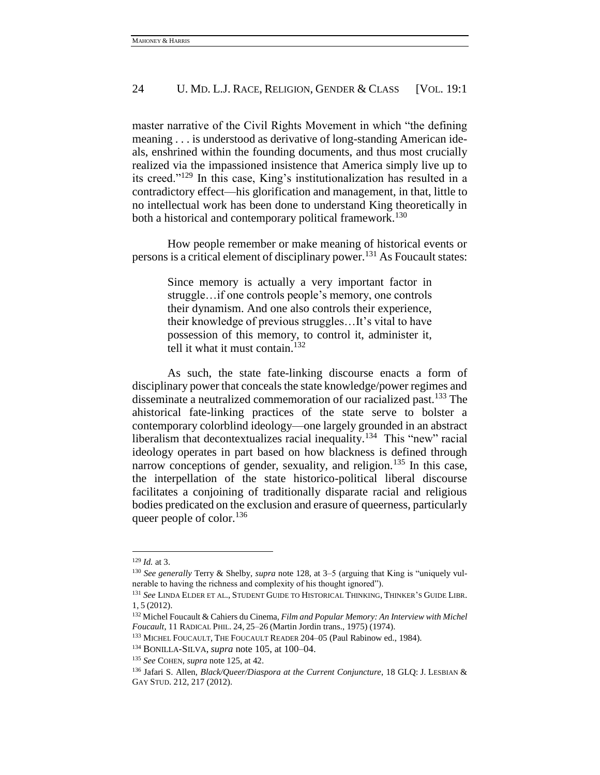master narrative of the Civil Rights Movement in which "the defining meaning . . . is understood as derivative of long-standing American ideals, enshrined within the founding documents, and thus most crucially realized via the impassioned insistence that America simply live up to its creed."<sup>129</sup> In this case, King's institutionalization has resulted in a contradictory effect—his glorification and management, in that, little to no intellectual work has been done to understand King theoretically in both a historical and contemporary political framework.<sup>130</sup>

How people remember or make meaning of historical events or persons is a critical element of disciplinary power.<sup>131</sup> As Foucault states:

> Since memory is actually a very important factor in struggle…if one controls people's memory, one controls their dynamism. And one also controls their experience, their knowledge of previous struggles…It's vital to have possession of this memory, to control it, administer it, tell it what it must contain. $132$

As such, the state fate-linking discourse enacts a form of disciplinary power that conceals the state knowledge/power regimes and disseminate a neutralized commemoration of our racialized past.<sup>133</sup> The ahistorical fate-linking practices of the state serve to bolster a contemporary colorblind ideology—one largely grounded in an abstract liberalism that decontextualizes racial inequality.<sup>134</sup> This "new" racial ideology operates in part based on how blackness is defined through narrow conceptions of gender, sexuality, and religion.<sup>135</sup> In this case, the interpellation of the state historico-political liberal discourse facilitates a conjoining of traditionally disparate racial and religious bodies predicated on the exclusion and erasure of queerness, particularly queer people of color. $136$ 

<sup>129</sup> *Id.* at 3.

<sup>130</sup> *See generally* Terry & Shelby, *supra* note 128, at 3–5 (arguing that King is "uniquely vulnerable to having the richness and complexity of his thought ignored").

<sup>131</sup> *See* LINDA ELDER ET AL., STUDENT GUIDE TO HISTORICAL THINKING, THINKER'S GUIDE LIBR. 1, 5 (2012).

<sup>132</sup> Michel Foucault & Cahiers du Cinema, *Film and Popular Memory: An Interview with Michel Foucault*, 11 RADICAL PHIL. 24, 25–26 (Martin Jordin trans., 1975) (1974).

<sup>133</sup> MICHEL FOUCAULT, THE FOUCAULT READER 204–05 (Paul Rabinow ed., 1984).

<sup>134</sup> BONILLA-SILVA, *supra* note 105, at 100–04.

<sup>135</sup> *See* COHEN, *supra* note 125, at 42.

<sup>136</sup> Jafari S. Allen, *Black/Queer/Diaspora at the Current Conjuncture*, 18 GLQ: J. LESBIAN & GAY STUD. 212, 217 (2012).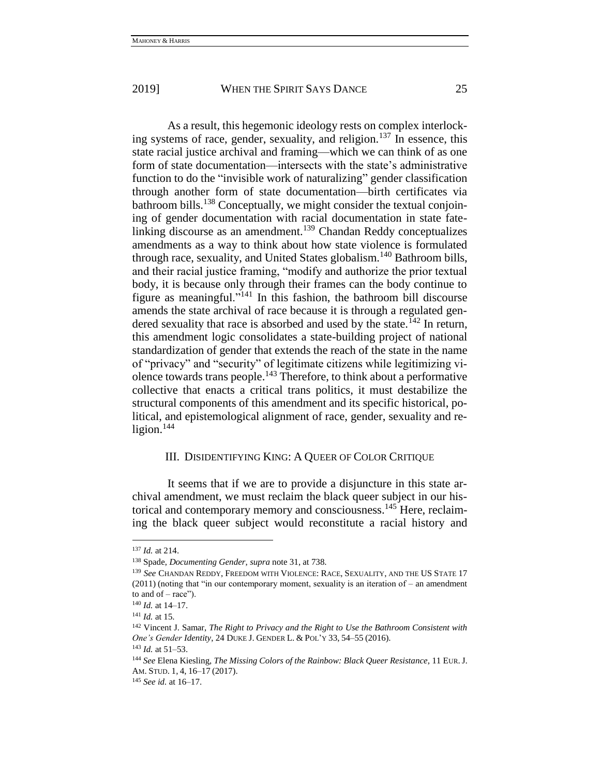As a result, this hegemonic ideology rests on complex interlocking systems of race, gender, sexuality, and religion. $137$  In essence, this state racial justice archival and framing—which we can think of as one form of state documentation—intersects with the state's administrative function to do the "invisible work of naturalizing" gender classification through another form of state documentation—birth certificates via bathroom bills.<sup>138</sup> Conceptually, we might consider the textual conjoining of gender documentation with racial documentation in state fatelinking discourse as an amendment.<sup>139</sup> Chandan Reddy conceptualizes amendments as a way to think about how state violence is formulated through race, sexuality, and United States globalism.<sup>140</sup> Bathroom bills, and their racial justice framing, "modify and authorize the prior textual body, it is because only through their frames can the body continue to figure as meaningful."<sup>141</sup> In this fashion, the bathroom bill discourse amends the state archival of race because it is through a regulated gendered sexuality that race is absorbed and used by the state.<sup>142</sup> In return, this amendment logic consolidates a state-building project of national standardization of gender that extends the reach of the state in the name of "privacy" and "security" of legitimate citizens while legitimizing violence towards trans people.<sup>143</sup> Therefore, to think about a performative collective that enacts a critical trans politics, it must destabilize the structural components of this amendment and its specific historical, political, and epistemological alignment of race, gender, sexuality and religion. $144$ 

#### III. DISIDENTIFYING KING: A QUEER OF COLOR CRITIQUE

It seems that if we are to provide a disjuncture in this state archival amendment, we must reclaim the black queer subject in our historical and contemporary memory and consciousness.<sup>145</sup> Here, reclaiming the black queer subject would reconstitute a racial history and

<sup>137</sup> *Id.* at 214.

<sup>138</sup> Spade, *Documenting Gender*, *supra* note 31, at 738.

<sup>139</sup> *See* CHANDAN REDDY, FREEDOM WITH VIOLENCE: RACE, SEXUALITY, AND THE US STATE 17  $(2011)$  (noting that "in our contemporary moment, sexuality is an iteration of – an amendment to and of  $-$  race").

<sup>140</sup> *Id.* at 14–17.

<sup>141</sup> *Id.* at 15.

<sup>142</sup> Vincent J. Samar, *The Right to Privacy and the Right to Use the Bathroom Consistent with One's Gender Identity*, 24 DUKE J. GENDER L. & POL'Y 33, 54–55 (2016).

<sup>143</sup> *Id.* at 51–53.

<sup>144</sup> *See* Elena Kiesling, *The Missing Colors of the Rainbow: Black Queer Resistance*, 11 EUR.J. AM. STUD. 1, 4, 16–17 (2017).

<sup>145</sup> *See id.* at 16–17.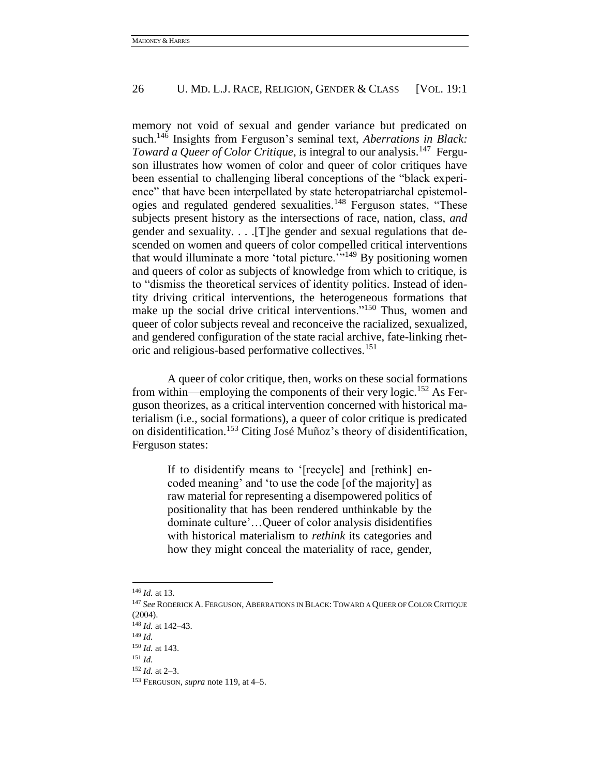memory not void of sexual and gender variance but predicated on such.<sup>146</sup> Insights from Ferguson's seminal text, *Aberrations in Black:*  Toward a Queer of Color Critique, is integral to our analysis.<sup>147</sup> Ferguson illustrates how women of color and queer of color critiques have been essential to challenging liberal conceptions of the "black experience" that have been interpellated by state heteropatriarchal epistemologies and regulated gendered sexualities.<sup>148</sup> Ferguson states, "These subjects present history as the intersections of race, nation, class, *and* gender and sexuality. . . .[T]he gender and sexual regulations that descended on women and queers of color compelled critical interventions that would illuminate a more 'total picture."<sup>149</sup> By positioning women and queers of color as subjects of knowledge from which to critique, is to "dismiss the theoretical services of identity politics. Instead of identity driving critical interventions, the heterogeneous formations that make up the social drive critical interventions."<sup>150</sup> Thus, women and queer of color subjects reveal and reconceive the racialized, sexualized, and gendered configuration of the state racial archive, fate-linking rhetoric and religious-based performative collectives.<sup>151</sup>

A queer of color critique, then, works on these social formations from within—employing the components of their very logic.<sup>152</sup> As Ferguson theorizes, as a critical intervention concerned with historical materialism (i.e., social formations), a queer of color critique is predicated on disidentification.<sup>153</sup> Citing José Muñoz's theory of disidentification, Ferguson states:

> If to disidentify means to '[recycle] and [rethink] encoded meaning' and 'to use the code [of the majority] as raw material for representing a disempowered politics of positionality that has been rendered unthinkable by the dominate culture'…Queer of color analysis disidentifies with historical materialism to *rethink* its categories and how they might conceal the materiality of race, gender,

<sup>146</sup> *Id.* at 13.

<sup>147</sup> *See* RODERICK A. FERGUSON, ABERRATIONS IN BLACK: TOWARD A QUEER OF COLOR CRITIQUE (2004).

<sup>148</sup> *Id.* at 142–43.

<sup>149</sup> *Id.*

<sup>150</sup> *Id.* at 143.

<sup>151</sup> *Id.*

<sup>152</sup> *Id.* at 2–3.

<sup>153</sup> FERGUSON, *supra* note 119, at 4–5.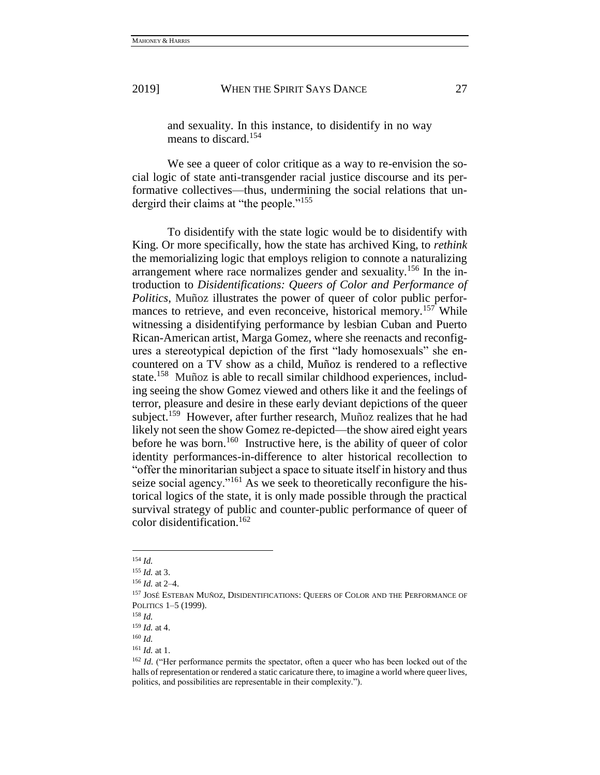and sexuality. In this instance, to disidentify in no way means to discard.<sup>154</sup>

We see a queer of color critique as a way to re-envision the social logic of state anti-transgender racial justice discourse and its performative collectives—thus, undermining the social relations that undergird their claims at "the people."<sup>155</sup>

To disidentify with the state logic would be to disidentify with King. Or more specifically, how the state has archived King, to *rethink* the memorializing logic that employs religion to connote a naturalizing arrangement where race normalizes gender and sexuality.<sup>156</sup> In the introduction to *Disidentifications: Queers of Color and Performance of Politics*, Muñoz illustrates the power of queer of color public performances to retrieve, and even reconceive, historical memory.<sup>157</sup> While witnessing a disidentifying performance by lesbian Cuban and Puerto Rican-American artist, Marga Gomez, where she reenacts and reconfigures a stereotypical depiction of the first "lady homosexuals" she encountered on a TV show as a child, Muñoz is rendered to a reflective state.<sup>158</sup> Muñoz is able to recall similar childhood experiences, including seeing the show Gomez viewed and others like it and the feelings of terror, pleasure and desire in these early deviant depictions of the queer subject.<sup>159</sup> However, after further research, Muñoz realizes that he had likely not seen the show Gomez re-depicted—the show aired eight years before he was born.<sup>160</sup> Instructive here, is the ability of queer of color identity performances-in-difference to alter historical recollection to "offer the minoritarian subject a space to situate itself in history and thus seize social agency."<sup>161</sup> As we seek to theoretically reconfigure the historical logics of the state, it is only made possible through the practical survival strategy of public and counter-public performance of queer of color disidentification.<sup>162</sup>

<sup>154</sup> *Id.*

<sup>155</sup> *Id.* at 3.

<sup>156</sup> *Id.* at 2–4.

<sup>157</sup> JOSÉ ESTEBAN MUÑOZ, DISIDENTIFICATIONS: QUEERS OF COLOR AND THE PERFORMANCE OF POLITICS 1–5 (1999).

<sup>158</sup> *Id.*

<sup>159</sup> *Id.* at 4.

<sup>160</sup> *Id.*

<sup>161</sup> *Id.* at 1.

<sup>&</sup>lt;sup>162</sup> *Id.* ("Her performance permits the spectator, often a queer who has been locked out of the halls of representation or rendered a static caricature there, to imagine a world where queer lives, politics, and possibilities are representable in their complexity.").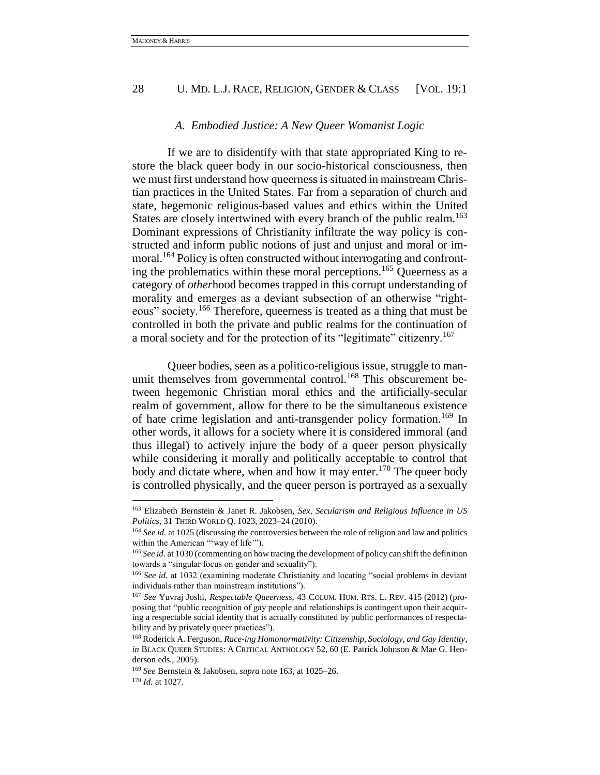#### *A. Embodied Justice: A New Queer Womanist Logic*

If we are to disidentify with that state appropriated King to restore the black queer body in our socio-historical consciousness, then we must first understand how queerness is situated in mainstream Christian practices in the United States. Far from a separation of church and state, hegemonic religious-based values and ethics within the United States are closely intertwined with every branch of the public realm.<sup>163</sup> Dominant expressions of Christianity infiltrate the way policy is constructed and inform public notions of just and unjust and moral or immoral.<sup>164</sup> Policy is often constructed without interrogating and confronting the problematics within these moral perceptions.<sup>165</sup> Oueerness as a category of *other*hood becomes trapped in this corrupt understanding of morality and emerges as a deviant subsection of an otherwise "righteous" society.<sup>166</sup> Therefore, queerness is treated as a thing that must be controlled in both the private and public realms for the continuation of a moral society and for the protection of its "legitimate" citizenry.<sup>167</sup>

Queer bodies, seen as a politico-religious issue, struggle to manumit themselves from governmental control.<sup>168</sup> This obscurement between hegemonic Christian moral ethics and the artificially-secular realm of government, allow for there to be the simultaneous existence of hate crime legislation and anti-transgender policy formation.<sup>169</sup> In other words, it allows for a society where it is considered immoral (and thus illegal) to actively injure the body of a queer person physically while considering it morally and politically acceptable to control that body and dictate where, when and how it may enter.<sup>170</sup> The queer body is controlled physically, and the queer person is portrayed as a sexually

<sup>163</sup> Elizabeth Bernstein & Janet R. Jakobsen, *Sex, Secularism and Religious Influence in US Politics*, 31 THIRD WORLD Q. 1023, 2023–24 (2010).

<sup>164</sup> *See id.* at 1025 (discussing the controversies between the role of religion and law and politics within the American "'way of life'").

<sup>&</sup>lt;sup>165</sup> See id. at 1030 (commenting on how tracing the development of policy can shift the definition towards a "singular focus on gender and sexuality").

<sup>&</sup>lt;sup>166</sup> See id. at 1032 (examining moderate Christianity and locating "social problems in deviant individuals rather than mainstream institutions").

<sup>167</sup> *See* Yuvraj Joshi, *Respectable Queerness*, 43 COLUM. HUM. RTS. L. REV. 415 (2012) (proposing that "public recognition of gay people and relationships is contingent upon their acquiring a respectable social identity that is actually constituted by public performances of respectability and by privately queer practices").

<sup>168</sup> Roderick A. Ferguson, *Race-ing Homonormativity: Citizenship, Sociology, and Gay Identity*, *in* BLACK QUEER STUDIES: A CRITICAL ANTHOLOGY 52, 60 (E. Patrick Johnson & Mae G. Henderson eds., 2005).

<sup>169</sup> *See* Bernstein & Jakobsen, *supra* note 163, at 1025–26.

<sup>170</sup> *Id.* at 1027.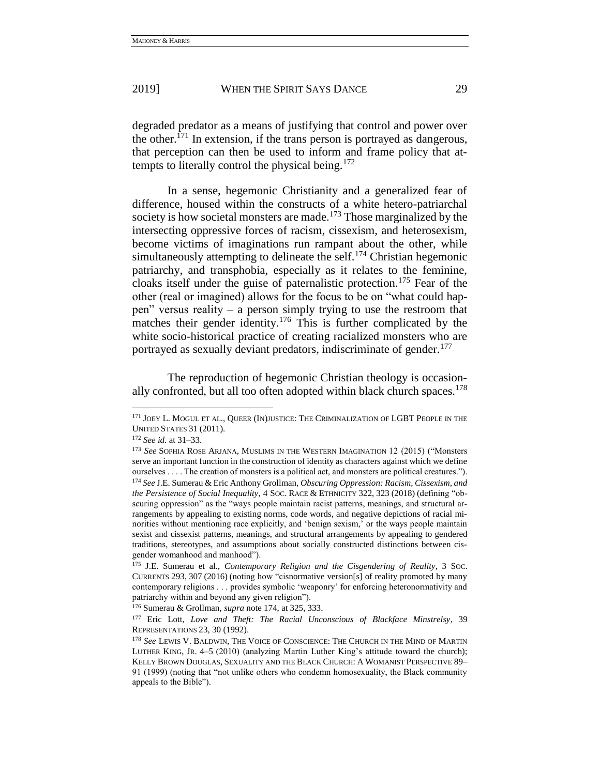degraded predator as a means of justifying that control and power over the other.<sup>171</sup> In extension, if the trans person is portrayed as dangerous, that perception can then be used to inform and frame policy that attempts to literally control the physical being. $172$ 

In a sense, hegemonic Christianity and a generalized fear of difference, housed within the constructs of a white hetero-patriarchal society is how societal monsters are made.<sup>173</sup> Those marginalized by the intersecting oppressive forces of racism, cissexism, and heterosexism, become victims of imaginations run rampant about the other, while simultaneously attempting to delineate the self.<sup>174</sup> Christian hegemonic patriarchy, and transphobia, especially as it relates to the feminine, cloaks itself under the guise of paternalistic protection.<sup>175</sup> Fear of the other (real or imagined) allows for the focus to be on "what could happen" versus reality – a person simply trying to use the restroom that matches their gender identity.<sup>176</sup> This is further complicated by the white socio-historical practice of creating racialized monsters who are portrayed as sexually deviant predators, indiscriminate of gender.<sup>177</sup>

The reproduction of hegemonic Christian theology is occasionally confronted, but all too often adopted within black church spaces.<sup>178</sup>

<sup>171</sup> JOEY L. MOGUL ET AL., QUEER (IN)JUSTICE: THE CRIMINALIZATION OF LGBT PEOPLE IN THE UNITED STATES 31 (2011).

<sup>172</sup> *See id.* at 31–33.

<sup>173</sup> *See* SOPHIA ROSE ARJANA, MUSLIMS IN THE WESTERN IMAGINATION 12 (2015) ("Monsters serve an important function in the construction of identity as characters against which we define ourselves . . . . The creation of monsters is a political act, and monsters are political creatures."). <sup>174</sup> *See* J.E. Sumerau & Eric Anthony Grollman, *Obscuring Oppression: Racism, Cissexism, and the Persistence of Social Inequality*, 4 SOC. RACE & ETHNICITY 322, 323 (2018) (defining "obscuring oppression" as the "ways people maintain racist patterns, meanings, and structural arrangements by appealing to existing norms, code words, and negative depictions of racial minorities without mentioning race explicitly, and 'benign sexism,' or the ways people maintain sexist and cissexist patterns, meanings, and structural arrangements by appealing to gendered traditions, stereotypes, and assumptions about socially constructed distinctions between cisgender womanhood and manhood").

<sup>175</sup> J.E. Sumerau et al., *Contemporary Religion and the Cisgendering of Reality*, 3 SOC. CURRENTS 293, 307 (2016) (noting how "cisnormative version[s] of reality promoted by many contemporary religions . . . provides symbolic 'weaponry' for enforcing heteronormativity and patriarchy within and beyond any given religion").

<sup>176</sup> Sumerau & Grollman, *supra* note 174, at 325, 333.

<sup>177</sup> Eric Lott, *Love and Theft: The Racial Unconscious of Blackface Minstrelsy*, 39 REPRESENTATIONS 23, 30 (1992).

<sup>178</sup> *See* LEWIS V. BALDWIN, THE VOICE OF CONSCIENCE: THE CHURCH IN THE MIND OF MARTIN LUTHER KING, JR. 4–5 (2010) (analyzing Martin Luther King's attitude toward the church); KELLY BROWN DOUGLAS, SEXUALITY AND THE BLACK CHURCH: A WOMANIST PERSPECTIVE 89– 91 (1999) (noting that "not unlike others who condemn homosexuality, the Black community appeals to the Bible").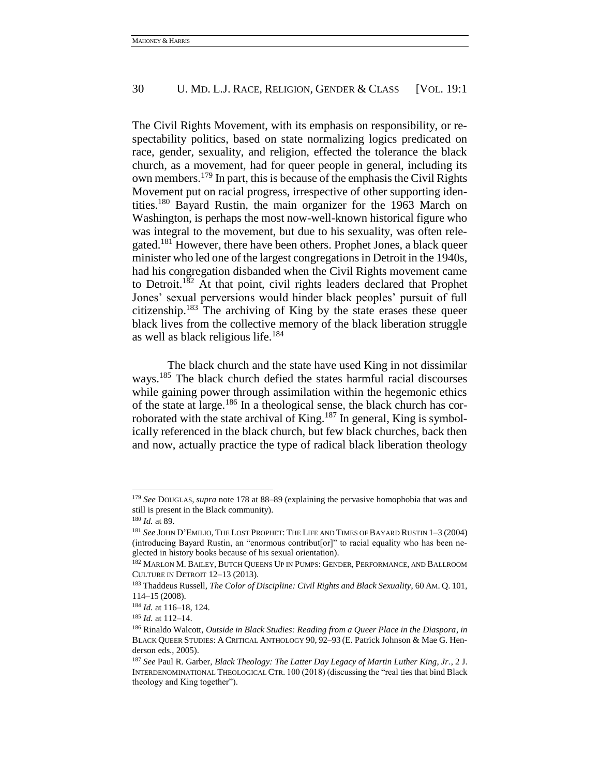The Civil Rights Movement, with its emphasis on responsibility, or respectability politics, based on state normalizing logics predicated on race, gender, sexuality, and religion, effected the tolerance the black church, as a movement, had for queer people in general, including its own members.<sup>179</sup> In part, this is because of the emphasis the Civil Rights Movement put on racial progress, irrespective of other supporting identities.<sup>180</sup> Bayard Rustin, the main organizer for the 1963 March on Washington, is perhaps the most now-well-known historical figure who was integral to the movement, but due to his sexuality, was often relegated.<sup>181</sup> However, there have been others. Prophet Jones, a black queer minister who led one of the largest congregations in Detroit in the 1940s, had his congregation disbanded when the Civil Rights movement came to Detroit.<sup>182</sup> At that point, civil rights leaders declared that Prophet Jones' sexual perversions would hinder black peoples' pursuit of full citizenship.<sup>183</sup> The archiving of King by the state erases these queer black lives from the collective memory of the black liberation struggle as well as black religious life.<sup>184</sup>

The black church and the state have used King in not dissimilar ways.<sup>185</sup> The black church defied the states harmful racial discourses while gaining power through assimilation within the hegemonic ethics of the state at large.<sup>186</sup> In a theological sense, the black church has corroborated with the state archival of King.<sup>187</sup> In general, King is symbolically referenced in the black church, but few black churches, back then and now, actually practice the type of radical black liberation theology

<sup>179</sup> *See* DOUGLAS, *supra* note 178 at 88–89 (explaining the pervasive homophobia that was and still is present in the Black community).

<sup>180</sup> *Id.* at 89.

<sup>181</sup> *See* JOHN D'EMILIO, THE LOST PROPHET: THE LIFE AND TIMES OF BAYARD RUSTIN 1–3 (2004) (introducing Bayard Rustin, an "enormous contribut[or]" to racial equality who has been neglected in history books because of his sexual orientation).

<sup>182</sup> MARLON M. BAILEY, BUTCH QUEENS UP IN PUMPS: GENDER, PERFORMANCE, AND BALLROOM CULTURE IN DETROIT 12–13 (2013).

<sup>183</sup> Thaddeus Russell, *The Color of Discipline: Civil Rights and Black Sexuality*, 60 AM. Q. 101, 114–15 (2008).

<sup>184</sup> *Id.* at 116–18, 124.

<sup>185</sup> *Id.* at 112–14.

<sup>186</sup> Rinaldo Walcott, *Outside in Black Studies: Reading from a Queer Place in the Diaspora*, *in*  BLACK QUEER STUDIES: A CRITICAL ANTHOLOGY 90, 92–93 (E. Patrick Johnson & Mae G. Henderson eds., 2005).

<sup>187</sup> *See* Paul R. Garber, *Black Theology: The Latter Day Legacy of Martin Luther King, Jr.*, 2 J. INTERDENOMINATIONAL THEOLOGICAL CTR. 100 (2018) (discussing the "real ties that bind Black theology and King together").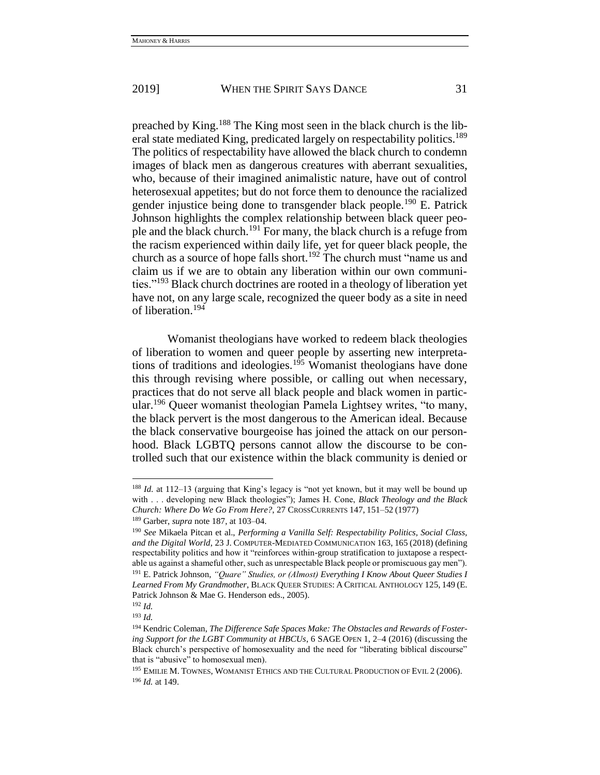preached by King.<sup>188</sup> The King most seen in the black church is the liberal state mediated King, predicated largely on respectability politics.<sup>189</sup> The politics of respectability have allowed the black church to condemn images of black men as dangerous creatures with aberrant sexualities, who, because of their imagined animalistic nature, have out of control heterosexual appetites; but do not force them to denounce the racialized gender injustice being done to transgender black people.<sup>190</sup> E. Patrick Johnson highlights the complex relationship between black queer people and the black church.<sup>191</sup> For many, the black church is a refuge from the racism experienced within daily life, yet for queer black people, the church as a source of hope falls short.<sup>192</sup> The church must "name us and claim us if we are to obtain any liberation within our own communities."<sup>193</sup> Black church doctrines are rooted in a theology of liberation yet have not, on any large scale, recognized the queer body as a site in need of liberation.<sup>194</sup>

Womanist theologians have worked to redeem black theologies of liberation to women and queer people by asserting new interpretations of traditions and ideologies.<sup>195</sup> Womanist theologians have done this through revising where possible, or calling out when necessary, practices that do not serve all black people and black women in particular.<sup>196</sup> Queer womanist theologian Pamela Lightsey writes, "to many, the black pervert is the most dangerous to the American ideal. Because the black conservative bourgeoise has joined the attack on our personhood. Black LGBTQ persons cannot allow the discourse to be controlled such that our existence within the black community is denied or

<sup>&</sup>lt;sup>188</sup> *Id.* at 112–13 (arguing that King's legacy is "not yet known, but it may well be bound up with . . . developing new Black theologies"); James H. Cone, *Black Theology and the Black Church: Where Do We Go From Here?*, 27 CROSSCURRENTS 147, 151–52 (1977)

<sup>189</sup> Garber, *supra* note 187, at 103–04.

<sup>190</sup> *See* Mikaela Pitcan et al., *Performing a Vanilla Self: Respectability Politics, Social Class, and the Digital World*, 23 J. COMPUTER-MEDIATED COMMUNICATION 163, 165 (2018) (defining respectability politics and how it "reinforces within-group stratification to juxtapose a respectable us against a shameful other, such as unrespectable Black people or promiscuous gay men"). <sup>191</sup> E. Patrick Johnson, *"Quare" Studies, or (Almost) Everything I Know About Queer Studies I Learned From My Grandmother*, BLACK QUEER STUDIES: A CRITICAL ANTHOLOGY 125, 149 (E. Patrick Johnson & Mae G. Henderson eds., 2005).

<sup>192</sup> *Id.*

<sup>193</sup> *Id.*

<sup>194</sup> Kendric Coleman, *The Difference Safe Spaces Make: The Obstacles and Rewards of Fostering Support for the LGBT Community at HBCUs*, 6 SAGE OPEN 1, 2–4 (2016) (discussing the Black church's perspective of homosexuality and the need for "liberating biblical discourse" that is "abusive" to homosexual men).

<sup>&</sup>lt;sup>195</sup> EMILIE M. TOWNES, WOMANIST ETHICS AND THE CULTURAL PRODUCTION OF EVIL 2 (2006). <sup>196</sup> *Id.* at 149.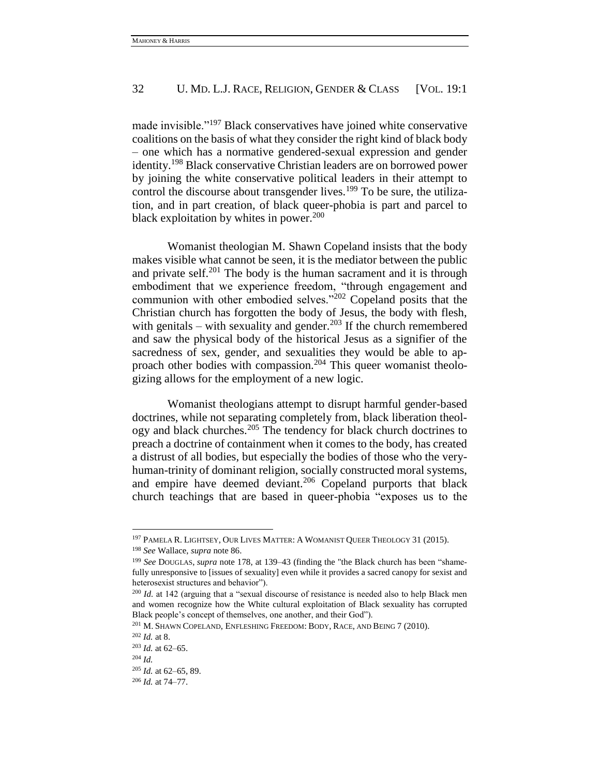made invisible."<sup>197</sup> Black conservatives have joined white conservative coalitions on the basis of what they consider the right kind of black body – one which has a normative gendered-sexual expression and gender identity.<sup>198</sup> Black conservative Christian leaders are on borrowed power by joining the white conservative political leaders in their attempt to control the discourse about transgender lives.<sup>199</sup> To be sure, the utilization, and in part creation, of black queer-phobia is part and parcel to black exploitation by whites in power.<sup>200</sup>

Womanist theologian M. Shawn Copeland insists that the body makes visible what cannot be seen, it is the mediator between the public and private self.<sup>201</sup> The body is the human sacrament and it is through embodiment that we experience freedom, "through engagement and communion with other embodied selves."<sup>202</sup> Copeland posits that the Christian church has forgotten the body of Jesus, the body with flesh, with genitals – with sexuality and gender.<sup>203</sup> If the church remembered and saw the physical body of the historical Jesus as a signifier of the sacredness of sex, gender, and sexualities they would be able to approach other bodies with compassion.<sup>204</sup> This queer womanist theologizing allows for the employment of a new logic.

Womanist theologians attempt to disrupt harmful gender-based doctrines, while not separating completely from, black liberation theology and black churches.<sup>205</sup> The tendency for black church doctrines to preach a doctrine of containment when it comes to the body, has created a distrust of all bodies, but especially the bodies of those who the veryhuman-trinity of dominant religion, socially constructed moral systems, and empire have deemed deviant.<sup>206</sup> Copeland purports that black church teachings that are based in queer-phobia "exposes us to the

<sup>&</sup>lt;sup>197</sup> PAMELA R. LIGHTSEY, OUR LIVES MATTER: A WOMANIST QUEER THEOLOGY 31 (2015). <sup>198</sup> *See* Wallace, *supra* note 86.

<sup>199</sup> *See* DOUGLAS, *supra* note 178, at 139–43 (finding the "the Black church has been "shamefully unresponsive to [issues of sexuality] even while it provides a sacred canopy for sexist and heterosexist structures and behavior").

<sup>&</sup>lt;sup>200</sup> *Id.* at 142 (arguing that a "sexual discourse of resistance is needed also to help Black men and women recognize how the White cultural exploitation of Black sexuality has corrupted Black people's concept of themselves, one another, and their God").

<sup>&</sup>lt;sup>201</sup> M. SHAWN COPELAND, ENFLESHING FREEDOM: BODY, RACE, AND BEING 7 (2010). <sup>202</sup> *Id.* at 8.

<sup>203</sup> *Id.* at 62–65.

<sup>204</sup> *Id.*

<sup>205</sup> *Id.* at 62–65, 89.

<sup>206</sup> *Id.* at 74–77.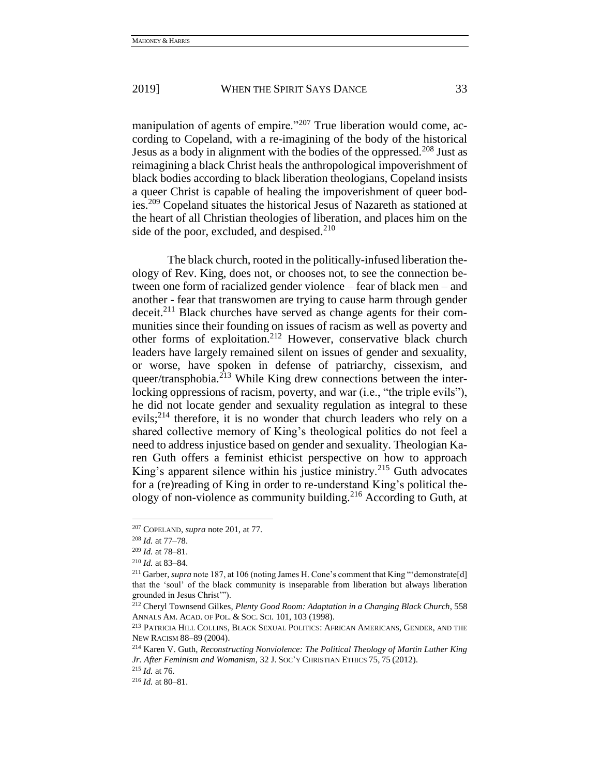manipulation of agents of empire."<sup>207</sup> True liberation would come, according to Copeland, with a re-imagining of the body of the historical Jesus as a body in alignment with the bodies of the oppressed.<sup>208</sup> Just as reimagining a black Christ heals the anthropological impoverishment of black bodies according to black liberation theologians, Copeland insists a queer Christ is capable of healing the impoverishment of queer bodies.<sup>209</sup> Copeland situates the historical Jesus of Nazareth as stationed at the heart of all Christian theologies of liberation, and places him on the side of the poor, excluded, and despised. $210$ 

The black church, rooted in the politically-infused liberation theology of Rev. King, does not, or chooses not, to see the connection between one form of racialized gender violence – fear of black men – and another - fear that transwomen are trying to cause harm through gender deceit.<sup>211</sup> Black churches have served as change agents for their communities since their founding on issues of racism as well as poverty and other forms of exploitation.<sup>212</sup> However, conservative black church leaders have largely remained silent on issues of gender and sexuality, or worse, have spoken in defense of patriarchy, cissexism, and queer/transphobia.<sup>213</sup> While King drew connections between the interlocking oppressions of racism, poverty, and war (i.e., "the triple evils"), he did not locate gender and sexuality regulation as integral to these evils;<sup>214</sup> therefore, it is no wonder that church leaders who rely on a shared collective memory of King's theological politics do not feel a need to address injustice based on gender and sexuality. Theologian Karen Guth offers a feminist ethicist perspective on how to approach King's apparent silence within his justice ministry. $215$  Guth advocates for a (re)reading of King in order to re-understand King's political theology of non-violence as community building.<sup>216</sup> According to Guth, at

<sup>207</sup> COPELAND, *supra* note 201, at 77.

<sup>208</sup> *Id.* at 77–78.

<sup>209</sup> *Id.* at 78–81.

<sup>210</sup> *Id.* at 83–84.

<sup>&</sup>lt;sup>211</sup> Garber, *supra* note 187, at 106 (noting James H. Cone's comment that King "'demonstrate[d] that the 'soul' of the black community is inseparable from liberation but always liberation grounded in Jesus Christ'").

<sup>212</sup> Cheryl Townsend Gilkes, *Plenty Good Room: Adaptation in a Changing Black Church*, 558 ANNALS AM. ACAD. OF POL. & SOC. SCI. 101, 103 (1998).

<sup>213</sup> PATRICIA HILL COLLINS, BLACK SEXUAL POLITICS: AFRICAN AMERICANS, GENDER, AND THE NEW RACISM 88–89 (2004).

<sup>214</sup> Karen V. Guth, *Reconstructing Nonviolence: The Political Theology of Martin Luther King Jr. After Feminism and Womanism*, 32 J. SOC'Y CHRISTIAN ETHICS 75, 75 (2012).

<sup>215</sup> *Id.* at 76.

<sup>216</sup> *Id.* at 80–81.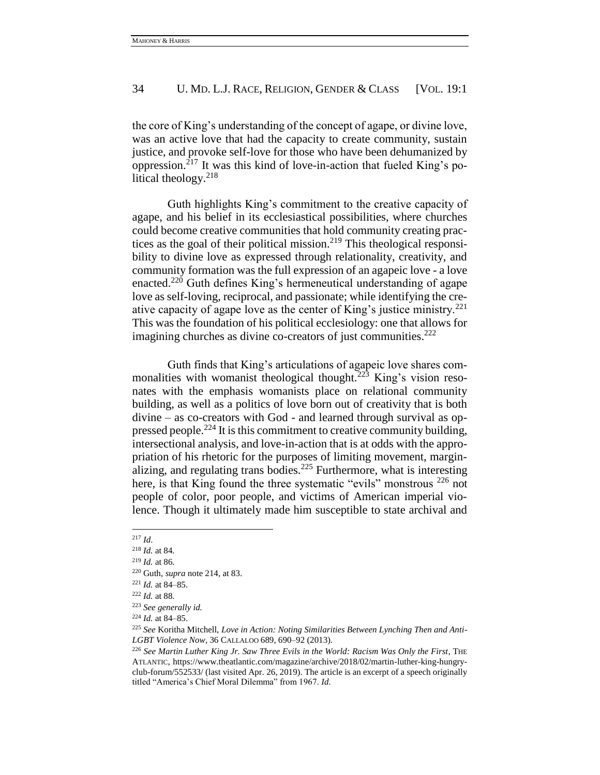the core of King's understanding of the concept of agape, or divine love, was an active love that had the capacity to create community, sustain justice, and provoke self-love for those who have been dehumanized by oppression.<sup>217</sup> It was this kind of love-in-action that fueled King's political theology.<sup>218</sup>

Guth highlights King's commitment to the creative capacity of agape, and his belief in its ecclesiastical possibilities, where churches could become creative communities that hold community creating practices as the goal of their political mission.<sup>219</sup> This theological responsibility to divine love as expressed through relationality, creativity, and community formation was the full expression of an agapeic love - a love enacted.<sup>220</sup> Guth defines King's hermeneutical understanding of agape love as self-loving, reciprocal, and passionate; while identifying the creative capacity of agape love as the center of King's justice ministry.<sup>221</sup> This was the foundation of his political ecclesiology: one that allows for imagining churches as divine co-creators of just communities.<sup>222</sup>

Guth finds that King's articulations of agapeic love shares commonalities with womanist theological thought.<sup>223</sup> King's vision resonates with the emphasis womanists place on relational community building, as well as a politics of love born out of creativity that is both divine – as co-creators with God - and learned through survival as oppressed people.<sup>224</sup> It is this commitment to creative community building, intersectional analysis, and love-in-action that is at odds with the appropriation of his rhetoric for the purposes of limiting movement, marginalizing, and regulating trans bodies.<sup>225</sup> Furthermore, what is interesting here, is that King found the three systematic "evils" monstrous <sup>226</sup> not people of color, poor people, and victims of American imperial violence. Though it ultimately made him susceptible to state archival and

<sup>217</sup> *Id*.

<sup>218</sup> *Id.* at 84.

<sup>219</sup> *Id.* at 86.

<sup>220</sup> Guth, *supra* note 214, at 83.

<sup>221</sup> *Id.* at 84–85.

<sup>222</sup> *Id.* at 88.

<sup>223</sup> *See generally id.*

<sup>224</sup> *Id.* at 84–85.

<sup>225</sup> *See* Koritha Mitchell, *Love in Action: Noting Similarities Between Lynching Then and Anti-LGBT Violence Now*, 36 CALLALOO 689, 690–92 (2013).

<sup>226</sup> *See Martin Luther King Jr. Saw Three Evils in the World: Racism Was Only the First*, THE ATLANTIC, https://www.theatlantic.com/magazine/archive/2018/02/martin-luther-king-hungryclub-forum/552533/ (last visited Apr. 26, 2019). The article is an excerpt of a speech originally titled "America's Chief Moral Dilemma" from 1967. *Id.*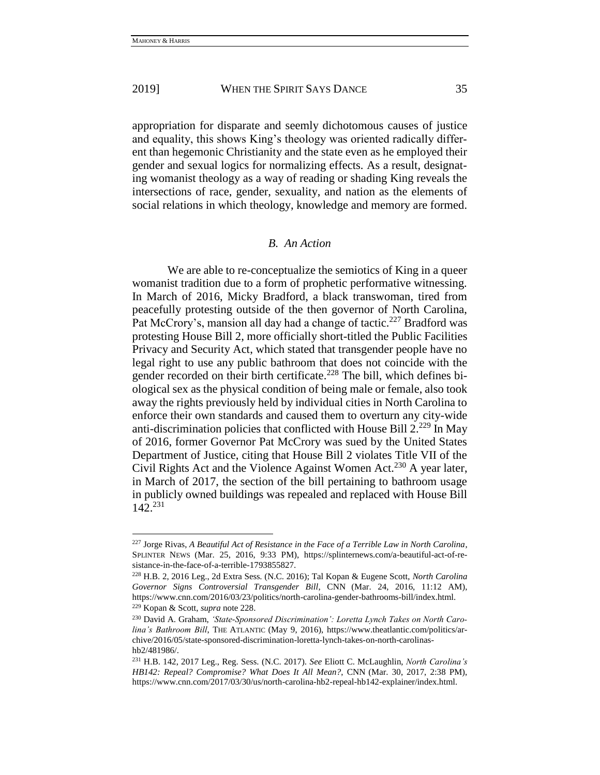appropriation for disparate and seemly dichotomous causes of justice and equality, this shows King's theology was oriented radically different than hegemonic Christianity and the state even as he employed their gender and sexual logics for normalizing effects. As a result, designating womanist theology as a way of reading or shading King reveals the intersections of race, gender, sexuality, and nation as the elements of social relations in which theology, knowledge and memory are formed.

#### *B. An Action*

We are able to re-conceptualize the semiotics of King in a queer womanist tradition due to a form of prophetic performative witnessing. In March of 2016, Micky Bradford, a black transwoman, tired from peacefully protesting outside of the then governor of North Carolina, Pat McCrory's, mansion all day had a change of tactic.<sup>227</sup> Bradford was protesting House Bill 2, more officially short-titled the Public Facilities Privacy and Security Act, which stated that transgender people have no legal right to use any public bathroom that does not coincide with the gender recorded on their birth certificate.<sup>228</sup> The bill, which defines biological sex as the physical condition of being male or female, also took away the rights previously held by individual cities in North Carolina to enforce their own standards and caused them to overturn any city-wide anti-discrimination policies that conflicted with House Bill  $2^{229}$  In May of 2016, former Governor Pat McCrory was sued by the United States Department of Justice, citing that House Bill 2 violates Title VII of the Civil Rights Act and the Violence Against Women Act.<sup>230</sup> A year later, in March of 2017, the section of the bill pertaining to bathroom usage in publicly owned buildings was repealed and replaced with House Bill  $142^{231}$ 

<sup>227</sup> Jorge Rivas, *A Beautiful Act of Resistance in the Face of a Terrible Law in North Carolina*, SPLINTER NEWS (Mar. 25, 2016, 9:33 PM), https://splinternews.com/a-beautiful-act-of-resistance-in-the-face-of-a-terrible-1793855827.

<sup>228</sup> H.B. 2, 2016 Leg., 2d Extra Sess. (N.C. 2016); Tal Kopan & Eugene Scott, *North Carolina Governor Signs Controversial Transgender Bill*, CNN (Mar. 24, 2016, 11:12 AM), https://www.cnn.com/2016/03/23/politics/north-carolina-gender-bathrooms-bill/index.html.

<sup>229</sup> Kopan & Scott, *supra* note 228.

<sup>230</sup> David A. Graham, *'State-Sponsored Discrimination': Loretta Lynch Takes on North Carolina's Bathroom Bill*, THE ATLANTIC (May 9, 2016), https://www.theatlantic.com/politics/archive/2016/05/state-sponsored-discrimination-loretta-lynch-takes-on-north-carolinashb2/481986/.

<sup>231</sup> H.B. 142, 2017 Leg., Reg. Sess. (N.C. 2017). *See* Eliott C. McLaughlin, *North Carolina's HB142: Repeal? Compromise? What Does It All Mean?*, CNN (Mar. 30, 2017, 2:38 PM), https://www.cnn.com/2017/03/30/us/north-carolina-hb2-repeal-hb142-explainer/index.html.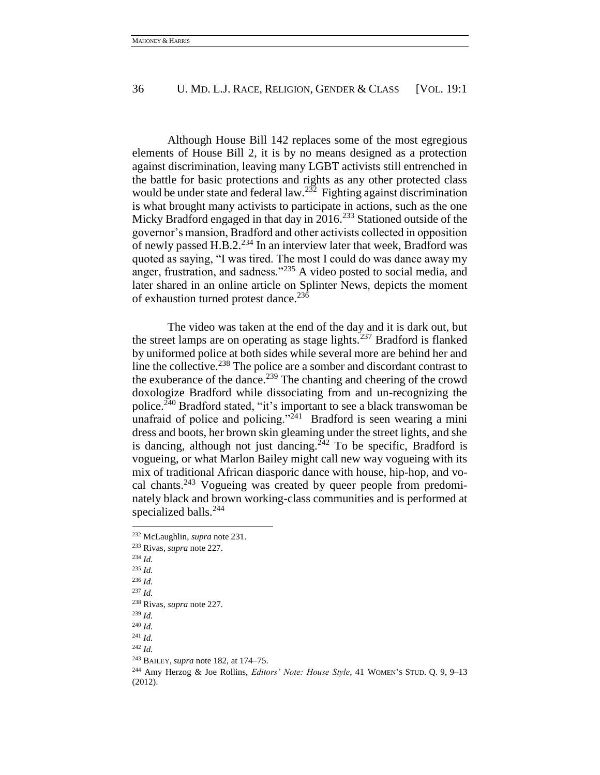Although House Bill 142 replaces some of the most egregious elements of House Bill 2, it is by no means designed as a protection against discrimination, leaving many LGBT activists still entrenched in the battle for basic protections and rights as any other protected class would be under state and federal law.<sup>232</sup> Fighting against discrimination is what brought many activists to participate in actions, such as the one Micky Bradford engaged in that day in 2016.<sup>233</sup> Stationed outside of the governor's mansion, Bradford and other activists collected in opposition of newly passed H.B.2.<sup>234</sup> In an interview later that week, Bradford was quoted as saying, "I was tired. The most I could do was dance away my anger, frustration, and sadness."<sup>235</sup> A video posted to social media, and later shared in an online article on Splinter News, depicts the moment of exhaustion turned protest dance.<sup>236</sup>

The video was taken at the end of the day and it is dark out, but the street lamps are on operating as stage lights.<sup>237</sup> Bradford is flanked by uniformed police at both sides while several more are behind her and line the collective.<sup>238</sup> The police are a somber and discordant contrast to the exuberance of the dance.<sup>239</sup> The chanting and cheering of the crowd doxologize Bradford while dissociating from and un-recognizing the police.<sup>240</sup> Bradford stated, "it's important to see a black transwoman be unafraid of police and policing."<sup>241</sup> Bradford is seen wearing a mini dress and boots, her brown skin gleaming under the street lights, and she is dancing, although not just dancing.<sup> $242$ </sup> To be specific, Bradford is vogueing, or what Marlon Bailey might call new way vogueing with its mix of traditional African diasporic dance with house, hip-hop, and vocal chants.<sup>243</sup> Vogueing was created by queer people from predominately black and brown working-class communities and is performed at specialized balls.<sup>244</sup>

<sup>232</sup> McLaughlin, *supra* note 231.

<sup>233</sup> Rivas, *supra* note 227.

<sup>234</sup> *Id.*

<sup>235</sup> *Id.*

<sup>236</sup> *Id.*

<sup>237</sup> *Id.*

<sup>238</sup> Rivas, *supra* note 227.

<sup>239</sup> *Id.*

<sup>240</sup> *Id.*

<sup>241</sup> *Id.* <sup>242</sup> *Id.*

<sup>243</sup> BAILEY, *supra* note 182, at 174–75.

<sup>244</sup> Amy Herzog & Joe Rollins, *Editors' Note: House Style*, 41 WOMEN'S STUD. Q. 9, 9–13 (2012).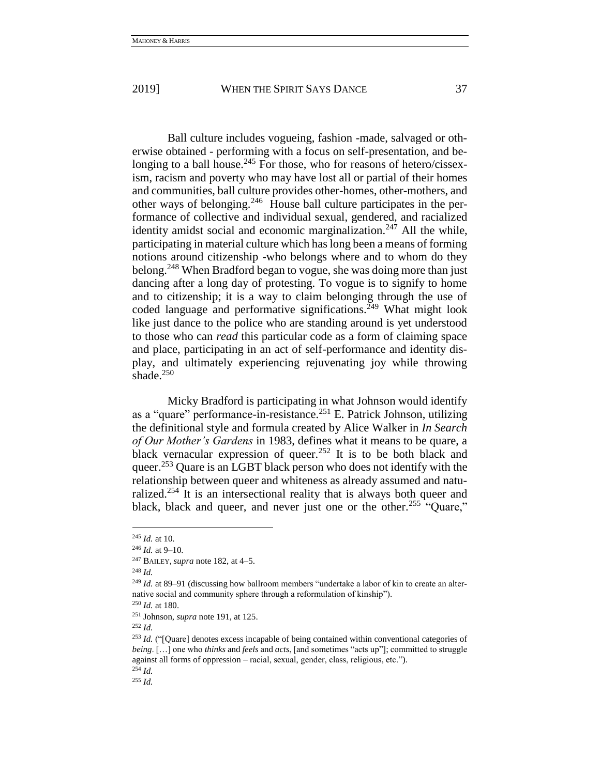Ball culture includes vogueing, fashion -made, salvaged or otherwise obtained - performing with a focus on self-presentation, and belonging to a ball house.<sup>245</sup> For those, who for reasons of hetero/cissexism, racism and poverty who may have lost all or partial of their homes and communities, ball culture provides other-homes, other-mothers, and other ways of belonging.<sup>246</sup> House ball culture participates in the performance of collective and individual sexual, gendered, and racialized identity amidst social and economic marginalization.<sup>247</sup> All the while, participating in material culture which has long been a means of forming notions around citizenship -who belongs where and to whom do they belong.<sup>248</sup> When Bradford began to vogue, she was doing more than just dancing after a long day of protesting. To vogue is to signify to home and to citizenship; it is a way to claim belonging through the use of coded language and performative significations.<sup>249</sup> What might look like just dance to the police who are standing around is yet understood to those who can *read* this particular code as a form of claiming space and place, participating in an act of self-performance and identity display, and ultimately experiencing rejuvenating joy while throwing shade. $250$ 

Micky Bradford is participating in what Johnson would identify as a "quare" performance-in-resistance.<sup>251</sup> E. Patrick Johnson, utilizing the definitional style and formula created by Alice Walker in *In Search of Our Mother's Gardens* in 1983, defines what it means to be quare, a black vernacular expression of queer.<sup>252</sup> It is to be both black and queer.<sup>253</sup> Quare is an LGBT black person who does not identify with the relationship between queer and whiteness as already assumed and naturalized.<sup>254</sup> It is an intersectional reality that is always both queer and black, black and queer, and never just one or the other.<sup>255</sup> "Quare,"

<sup>245</sup> *Id.* at 10.

<sup>246</sup> *Id.* at 9–10.

<sup>247</sup> BAILEY, *supra* note 182, at 4–5.

<sup>248</sup> *Id.*

<sup>&</sup>lt;sup>249</sup> *Id.* at 89–91 (discussing how ballroom members "undertake a labor of kin to create an alternative social and community sphere through a reformulation of kinship").

<sup>250</sup> *Id.* at 180.

<sup>251</sup> Johnson, *supra* note 191, at 125.

<sup>252</sup> *Id.* 

<sup>&</sup>lt;sup>253</sup> Id. ("[Quare] denotes excess incapable of being contained within conventional categories of *being*. […] one who *thinks* and *feels* and *acts*, [and sometimes "acts up"]; committed to struggle against all forms of oppression – racial, sexual, gender, class, religious, etc."). <sup>254</sup> *Id.*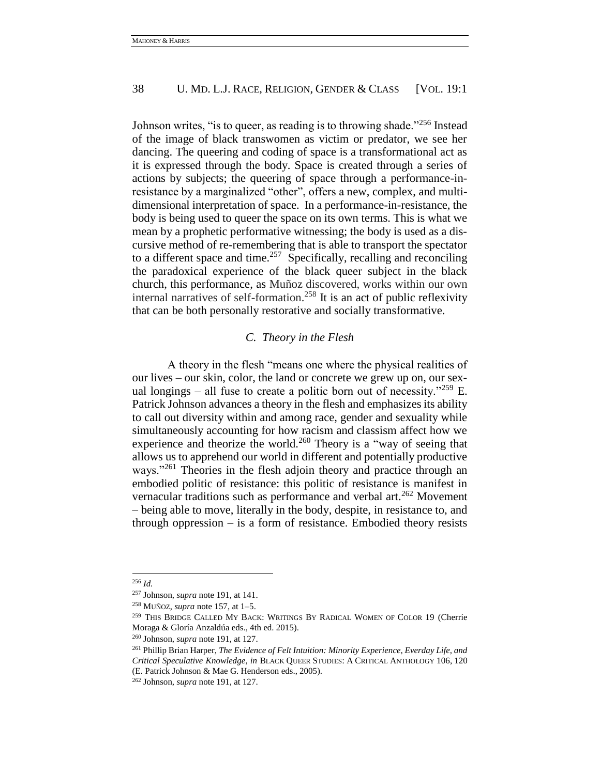Johnson writes, "is to queer, as reading is to throwing shade."<sup>256</sup> Instead of the image of black transwomen as victim or predator, we see her dancing. The queering and coding of space is a transformational act as it is expressed through the body. Space is created through a series of actions by subjects; the queering of space through a performance-inresistance by a marginalized "other", offers a new, complex, and multidimensional interpretation of space. In a performance-in-resistance, the body is being used to queer the space on its own terms. This is what we mean by a prophetic performative witnessing; the body is used as a discursive method of re-remembering that is able to transport the spectator to a different space and time.<sup>257</sup> Specifically, recalling and reconciling the paradoxical experience of the black queer subject in the black church, this performance, as Muñoz discovered, works within our own internal narratives of self-formation.<sup>258</sup> It is an act of public reflexivity that can be both personally restorative and socially transformative.

#### *C. Theory in the Flesh*

A theory in the flesh "means one where the physical realities of our lives – our skin, color, the land or concrete we grew up on, our sexual longings – all fuse to create a politic born out of necessity."<sup>259</sup> E. Patrick Johnson advances a theory in the flesh and emphasizes its ability to call out diversity within and among race, gender and sexuality while simultaneously accounting for how racism and classism affect how we experience and theorize the world.<sup>260</sup> Theory is a "way of seeing that allows us to apprehend our world in different and potentially productive ways."<sup>261</sup> Theories in the flesh adjoin theory and practice through an embodied politic of resistance: this politic of resistance is manifest in vernacular traditions such as performance and verbal art.<sup>262</sup> Movement – being able to move, literally in the body, despite, in resistance to, and through oppression  $-$  is a form of resistance. Embodied theory resists

<sup>256</sup> *Id.*

<sup>257</sup> Johnson, *supra* note 191, at 141.

<sup>258</sup> MUÑOZ, *supra* note 157, at 1–5.

<sup>259</sup> THIS BRIDGE CALLED MY BACK: WRITINGS BY RADICAL WOMEN OF COLOR 19 (Cherríe Moraga & Gloría Anzaldúa eds., 4th ed. 2015).

<sup>260</sup> Johnson, *supra* note 191, at 127.

<sup>261</sup> Phillip Brian Harper, *The Evidence of Felt Intuition: Minority Experience, Everday Life, and Critical Speculative Knowledge*, *in* BLACK QUEER STUDIES: A CRITICAL ANTHOLOGY 106, 120 (E. Patrick Johnson & Mae G. Henderson eds., 2005).

<sup>262</sup> Johnson, *supra* note 191, at 127.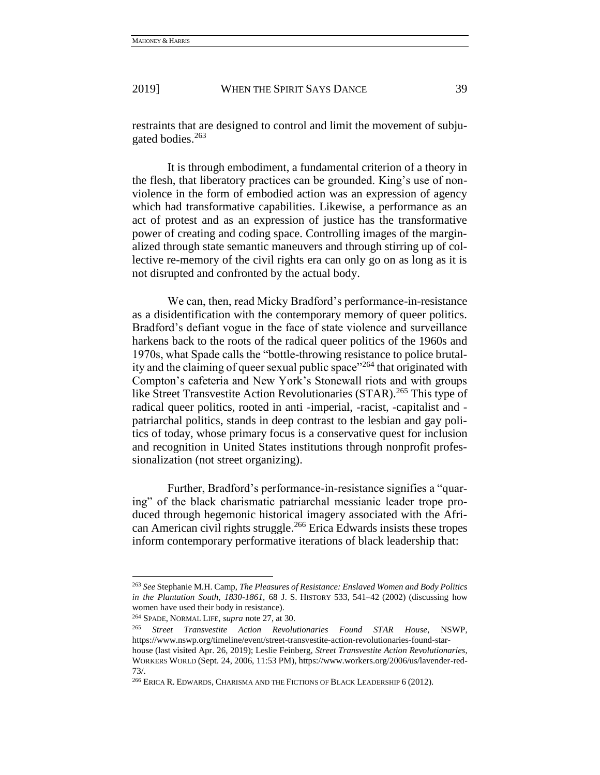restraints that are designed to control and limit the movement of subjugated bodies.<sup>263</sup>

It is through embodiment, a fundamental criterion of a theory in the flesh, that liberatory practices can be grounded. King's use of nonviolence in the form of embodied action was an expression of agency which had transformative capabilities. Likewise, a performance as an act of protest and as an expression of justice has the transformative power of creating and coding space. Controlling images of the marginalized through state semantic maneuvers and through stirring up of collective re-memory of the civil rights era can only go on as long as it is not disrupted and confronted by the actual body.

We can, then, read Micky Bradford's performance-in-resistance as a disidentification with the contemporary memory of queer politics. Bradford's defiant vogue in the face of state violence and surveillance harkens back to the roots of the radical queer politics of the 1960s and 1970s, what Spade calls the "bottle-throwing resistance to police brutality and the claiming of queer sexual public space"<sup>264</sup> that originated with Compton's cafeteria and New York's Stonewall riots and with groups like Street Transvestite Action Revolutionaries (STAR).<sup>265</sup> This type of radical queer politics, rooted in anti -imperial, -racist, -capitalist and patriarchal politics, stands in deep contrast to the lesbian and gay politics of today, whose primary focus is a conservative quest for inclusion and recognition in United States institutions through nonprofit professionalization (not street organizing).

Further, Bradford's performance-in-resistance signifies a "quaring" of the black charismatic patriarchal messianic leader trope produced through hegemonic historical imagery associated with the African American civil rights struggle.<sup>266</sup> Erica Edwards insists these tropes inform contemporary performative iterations of black leadership that:

<sup>263</sup> *See* Stephanie M.H. Camp, *The Pleasures of Resistance: Enslaved Women and Body Politics in the Plantation South, 1830-1861*, 68 J. S. HISTORY 533, 541–42 (2002) (discussing how women have used their body in resistance).

<sup>264</sup> SPADE, NORMAL LIFE, *supra* note 27, at 30.

<sup>265</sup> *Street Transvestite Action Revolutionaries Found STAR House*, NSWP, https://www.nswp.org/timeline/event/street-transvestite-action-revolutionaries-found-starhouse (last visited Apr. 26, 2019); Leslie Feinberg, *Street Transvestite Action Revolutionaries*, WORKERS WORLD (Sept. 24, 2006, 11:53 PM), https://www.workers.org/2006/us/lavender-red-73/.

<sup>266</sup> ERICA R. EDWARDS, CHARISMA AND THE FICTIONS OF BLACK LEADERSHIP 6 (2012).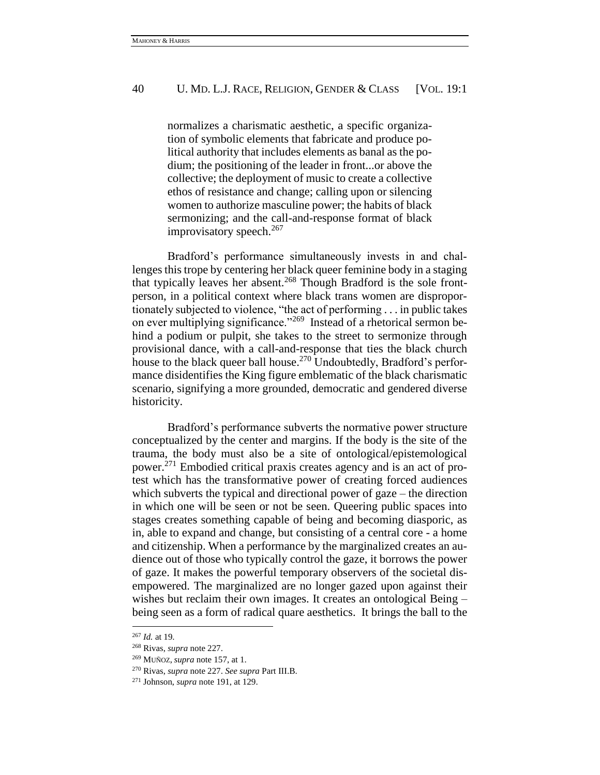normalizes a charismatic aesthetic, a specific organization of symbolic elements that fabricate and produce political authority that includes elements as banal as the podium; the positioning of the leader in front...or above the collective; the deployment of music to create a collective ethos of resistance and change; calling upon or silencing women to authorize masculine power; the habits of black sermonizing; and the call-and-response format of black improvisatory speech.<sup>267</sup>

Bradford's performance simultaneously invests in and challenges this trope by centering her black queer feminine body in a staging that typically leaves her absent.<sup>268</sup> Though Bradford is the sole frontperson, in a political context where black trans women are disproportionately subjected to violence, "the act of performing . . . in public takes on ever multiplying significance."<sup>269</sup> Instead of a rhetorical sermon behind a podium or pulpit, she takes to the street to sermonize through provisional dance, with a call-and-response that ties the black church house to the black queer ball house.<sup>270</sup> Undoubtedly, Bradford's performance disidentifies the King figure emblematic of the black charismatic scenario, signifying a more grounded, democratic and gendered diverse historicity.

Bradford's performance subverts the normative power structure conceptualized by the center and margins. If the body is the site of the trauma, the body must also be a site of ontological/epistemological power.<sup>271</sup> Embodied critical praxis creates agency and is an act of protest which has the transformative power of creating forced audiences which subverts the typical and directional power of gaze – the direction in which one will be seen or not be seen. Queering public spaces into stages creates something capable of being and becoming diasporic, as in, able to expand and change, but consisting of a central core - a home and citizenship. When a performance by the marginalized creates an audience out of those who typically control the gaze, it borrows the power of gaze. It makes the powerful temporary observers of the societal disempowered. The marginalized are no longer gazed upon against their wishes but reclaim their own images. It creates an ontological Being – being seen as a form of radical quare aesthetics. It brings the ball to the

<sup>267</sup> *Id.* at 19.

<sup>268</sup> Rivas, *supra* note 227.

<sup>269</sup> MUÑOZ, *supra* note 157, at 1.

<sup>270</sup> Rivas, *supra* note 227. *See supra* Part III.B.

<sup>271</sup> Johnson, *supra* note 191, at 129.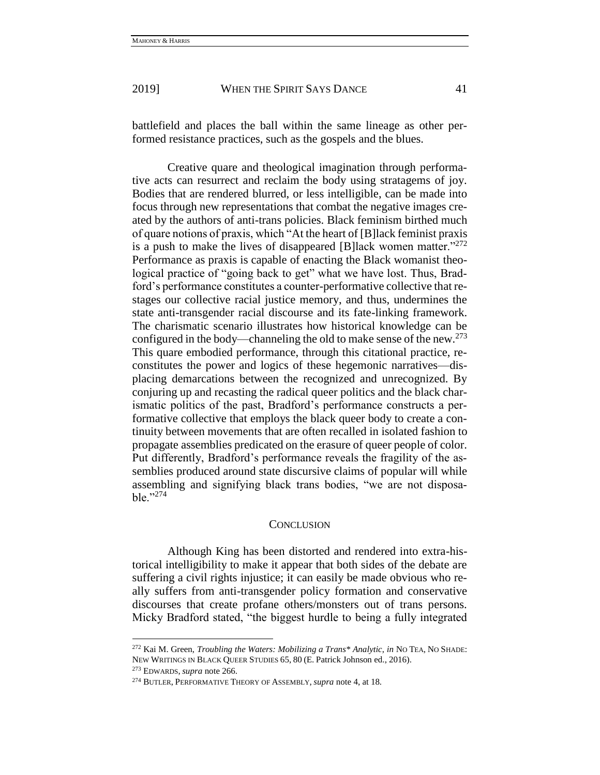battlefield and places the ball within the same lineage as other performed resistance practices, such as the gospels and the blues.

Creative quare and theological imagination through performative acts can resurrect and reclaim the body using stratagems of joy. Bodies that are rendered blurred, or less intelligible, can be made into focus through new representations that combat the negative images created by the authors of anti-trans policies. Black feminism birthed much of quare notions of praxis, which "At the heart of [B]lack feminist praxis is a push to make the lives of disappeared [B]lack women matter." $272$ Performance as praxis is capable of enacting the Black womanist theological practice of "going back to get" what we have lost. Thus, Bradford's performance constitutes a counter-performative collective that restages our collective racial justice memory, and thus, undermines the state anti-transgender racial discourse and its fate-linking framework. The charismatic scenario illustrates how historical knowledge can be configured in the body—channeling the old to make sense of the new.<sup>273</sup> This quare embodied performance, through this citational practice, reconstitutes the power and logics of these hegemonic narratives—displacing demarcations between the recognized and unrecognized. By conjuring up and recasting the radical queer politics and the black charismatic politics of the past, Bradford's performance constructs a performative collective that employs the black queer body to create a continuity between movements that are often recalled in isolated fashion to propagate assemblies predicated on the erasure of queer people of color. Put differently, Bradford's performance reveals the fragility of the assemblies produced around state discursive claims of popular will while assembling and signifying black trans bodies, "we are not disposa $ble. "274"$ 

#### **CONCLUSION**

Although King has been distorted and rendered into extra-historical intelligibility to make it appear that both sides of the debate are suffering a civil rights injustice; it can easily be made obvious who really suffers from anti-transgender policy formation and conservative discourses that create profane others/monsters out of trans persons. Micky Bradford stated, "the biggest hurdle to being a fully integrated

<sup>272</sup> Kai M. Green, *Troubling the Waters: Mobilizing a Trans\* Analytic*, *in* NO TEA, NO SHADE: NEW WRITINGS IN BLACK QUEER STUDIES 65, 80 (E. Patrick Johnson ed., 2016).

<sup>273</sup> EDWARDS, *supra* note 266.

<sup>274</sup> BUTLER, PERFORMATIVE THEORY OF ASSEMBLY, *supra* note 4, at 18.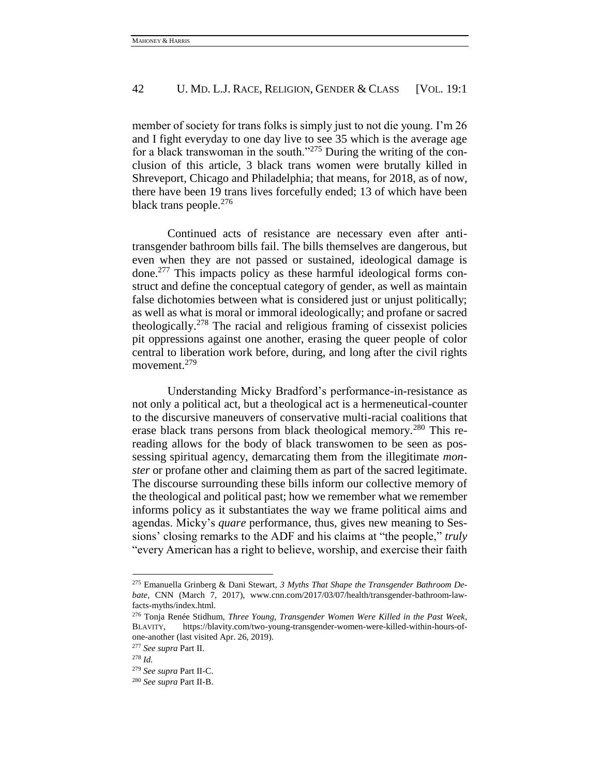member of society for trans folks is simply just to not die young. I'm 26 and I fight everyday to one day live to see 35 which is the average age for a black transwoman in the south."<sup>275</sup> During the writing of the conclusion of this article, 3 black trans women were brutally killed in Shreveport, Chicago and Philadelphia; that means, for 2018, as of now, there have been 19 trans lives forcefully ended; 13 of which have been black trans people.<sup>276</sup>

Continued acts of resistance are necessary even after antitransgender bathroom bills fail. The bills themselves are dangerous, but even when they are not passed or sustained, ideological damage is done.<sup>277</sup> This impacts policy as these harmful ideological forms construct and define the conceptual category of gender, as well as maintain false dichotomies between what is considered just or unjust politically; as well as what is moral or immoral ideologically; and profane or sacred theologically.<sup>278</sup> The racial and religious framing of cissexist policies pit oppressions against one another, erasing the queer people of color central to liberation work before, during, and long after the civil rights movement.<sup>279</sup>

Understanding Micky Bradford's performance-in-resistance as not only a political act, but a theological act is a hermeneutical-counter to the discursive maneuvers of conservative multi-racial coalitions that erase black trans persons from black theological memory.<sup>280</sup> This rereading allows for the body of black transwomen to be seen as possessing spiritual agency, demarcating them from the illegitimate *monster* or profane other and claiming them as part of the sacred legitimate. The discourse surrounding these bills inform our collective memory of the theological and political past; how we remember what we remember informs policy as it substantiates the way we frame political aims and agendas. Micky's *quare* performance, thus, gives new meaning to Sessions' closing remarks to the ADF and his claims at "the people," *truly* "every American has a right to believe, worship, and exercise their faith

<sup>275</sup> Emanuella Grinberg & Dani Stewart, *3 Myths That Shape the Transgender Bathroom Debate,* CNN (March 7, 2017), www.cnn.com/2017/03/07/health/transgender-bathroom-lawfacts-myths/index.html.

<sup>276</sup> Tonja Renée Stidhum, *Three Young, Transgender Women Were Killed in the Past Week*, BLAVITY, https://blavity.com/two-young-transgender-women-were-killed-within-hours-ofone-another (last visited Apr. 26, 2019).

<sup>277</sup> *See supra* Part II.

<sup>278</sup> *Id.*

<sup>279</sup> *See supra* Part II-C.

<sup>280</sup> *See supra* Part II-B.